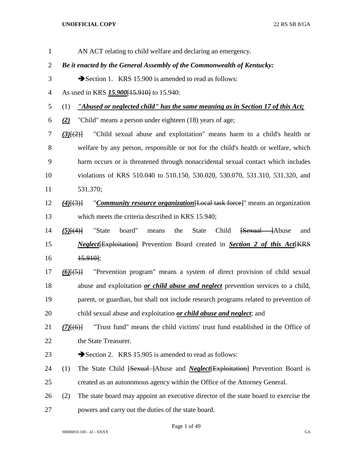AN ACT relating to child welfare and declaring an emergency. *Be it enacted by the General Assembly of the Commonwealth of Kentucky:* 3 Section 1. KRS 15.900 is amended to read as follows: As used in KRS *15.900*[15.910] to 15.940: (1) *"Abused or neglected child" has the same meaning as in Section 17 of this Act; (2)* "Child" means a person under eighteen (18) years of age; *(3)*[(2)] "Child sexual abuse and exploitation" means harm to a child's health or welfare by any person, responsible or not for the child's health or welfare, which harm occurs or is threatened through nonaccidental sexual contact which includes violations of KRS 510.040 to 510.150, 530.020, 530.070, 531.310, 531.320, and 531.370; *(4)*[(3)] "*Community resource organization*[Local task force]" means an organization which meets the criteria described in KRS 15.940; *(5)*[(4)] "State board" means the State Child [Sexual ]Abuse and *Neglect* Exploitation Prevention Board created in *Section 2 of this Act* EXP. 15.910]; *(6)*[(5)] "Prevention program" means a system of direct provision of child sexual abuse and exploitation *or child abuse and neglect* prevention services to a child, parent, or guardian, but shall not include research programs related to prevention of child sexual abuse and exploitation *or child abuse and neglect*; and *(7)*[(6)] "Trust fund" means the child victims' trust fund established in the Office of 22 the State Treasurer. 23 Section 2. KRS 15.905 is amended to read as follows: (1) The State Child [Sexual ]Abuse and *Neglect*[Exploitation] Prevention Board is created as an autonomous agency within the Office of the Attorney General. (2) The state board may appoint an executive director of the state board to exercise the powers and carry out the duties of the state board.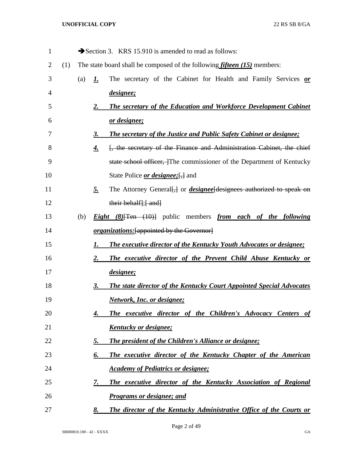| 1  |     |     |           | Section 3. KRS 15.910 is amended to read as follows:                                      |
|----|-----|-----|-----------|-------------------------------------------------------------------------------------------|
| 2  | (1) |     |           | The state board shall be composed of the following <i>fifteen</i> $(15)$ members:         |
| 3  |     | (a) | <u>I.</u> | The secretary of the Cabinet for Health and Family Services or                            |
| 4  |     |     |           | <i>designee</i> ;                                                                         |
| 5  |     |     | <u>2.</u> | <b>The secretary of the Education and Workforce Development Cabinet</b>                   |
| 6  |     |     |           | or designee;                                                                              |
| 7  |     |     | 3.        | <b>The secretary of the Justice and Public Safety Cabinet or designee;</b>                |
| 8  |     |     | 4.        | [, the secretary of the Finance and Administration Cabinet, the chief                     |
| 9  |     |     |           | state school officer, The commissioner of the Department of Kentucky                      |
| 10 |     |     |           | State Police <i>or designee</i> ; [, ] and                                                |
| 11 |     |     | <u>5.</u> | The Attorney General [] or <i>designee</i> [designees authorized to speak on              |
| 12 |     |     |           | their behalf]; { and }                                                                    |
| 13 |     | (b) |           | <b>Eight</b> $(8)$ <sup>[Ten (10)]</sup> public members <i>from each of the following</i> |
| 14 |     |     |           | <i>organizations:</i> [appointed by the Governor]                                         |
| 15 |     |     | 1.        | <b>The executive director of the Kentucky Youth Advocates or designee;</b>                |
| 16 |     |     | 2.        | The executive director of the Prevent Child Abuse Kentucky or                             |
| 17 |     |     |           | designee;                                                                                 |
| 18 |     |     | 3.        | <b>The state director of the Kentucky Court Appointed Special Advocates</b>               |
| 19 |     |     |           | <b>Network, Inc. or designee;</b>                                                         |
| 20 |     |     | 4.        | The executive director of the Children's Advocacy Centers of                              |
| 21 |     |     |           | <u>Kentucky or designee;</u>                                                              |
| 22 |     |     | 5.        | <b>The president of the Children's Alliance or designee;</b>                              |
| 23 |     |     | 6.        | The executive director of the Kentucky Chapter of the American                            |
| 24 |     |     |           | <b>Academy of Pediatrics or designee;</b>                                                 |
| 25 |     |     | 7.        | The executive director of the Kentucky Association of Regional                            |
| 26 |     |     |           | <b>Programs or designee; and</b>                                                          |
| 27 |     |     | 8.        | The director of the Kentucky Administrative Office of the Courts or                       |

Page 2 of 49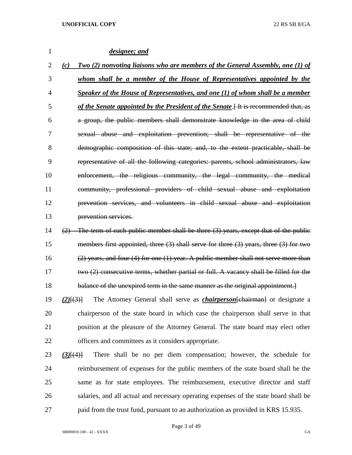| 1  |                 | designee; and                                                                               |
|----|-----------------|---------------------------------------------------------------------------------------------|
| 2  | (c)             | <b>Two (2) nonvoting liaisons who are members of the General Assembly, one (1) of</b>       |
| 3  |                 | whom shall be a member of the House of Representatives appointed by the                     |
| 4  |                 | Speaker of the House of Representatives, and one (1) of whom shall be a member              |
| 5  |                 | of the Senate appointed by the President of the Senate [It is recommended that, as          |
| 6  |                 | a group, the public members shall demonstrate knowledge in the area of child                |
| 7  |                 | sexual abuse and exploitation prevention; shall be representative of the                    |
| 8  |                 | demographic composition of this state; and, to the extent practicable, shall be             |
| 9  |                 | representative of all the following categories: parents, school administrators, law         |
| 10 |                 | enforcement, the religious community, the legal community, the medical                      |
| 11 |                 | community, professional providers of child sexual abuse and exploitation                    |
| 12 |                 | prevention services, and volunteers in child sexual abuse and exploitation                  |
| 13 |                 | prevention services.                                                                        |
| 14 | (2)             | The term of each public member shall be three (3) years, except that of the public          |
| 15 |                 | members first appointed, three $(3)$ shall serve for three $(3)$ years, three $(3)$ for two |
| 16 |                 | $(2)$ years, and four $(4)$ for one $(1)$ year. A public member shall not serve more than   |
| 17 |                 | two (2) consecutive terms, whether partial or full. A vacancy shall be filled for the       |
| 18 |                 | balance of the unexpired term in the same manner as the original appointment.               |
| 19 | $(2)$ $\{3\}$   | The Attorney General shall serve as <i>chairperson</i> [chairman] or designate a            |
| 20 |                 | chairperson of the state board in which case the chairperson shall serve in that            |
| 21 |                 | position at the pleasure of the Attorney General. The state board may elect other           |
| 22 |                 | officers and committees as it considers appropriate.                                        |
| 23 | $(3)$ [ $(4)$ ] | There shall be no per diem compensation; however, the schedule for                          |
| 24 |                 | reimbursement of expenses for the public members of the state board shall be the            |
| 25 |                 | same as for state employees. The reimbursement, executive director and staff                |
| 26 |                 | salaries, and all actual and necessary operating expenses of the state board shall be       |
| 27 |                 | paid from the trust fund, pursuant to an authorization as provided in KRS 15.935.           |
|    |                 |                                                                                             |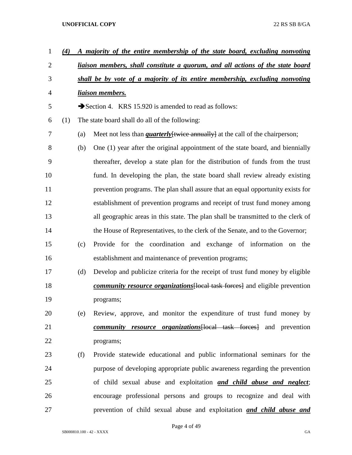| $\mathbf{1}$   | (4) |     | A majority of the entire membership of the state board, excluding nonvoting          |  |  |  |  |  |  |  |
|----------------|-----|-----|--------------------------------------------------------------------------------------|--|--|--|--|--|--|--|
| $\overline{2}$ |     |     | liaison members, shall constitute a quorum, and all actions of the state board       |  |  |  |  |  |  |  |
| 3              |     |     | shall be by vote of a majority of its entire membership, excluding nonvoting         |  |  |  |  |  |  |  |
| 4              |     |     | <u>liaison members.</u>                                                              |  |  |  |  |  |  |  |
| 5              |     |     | Section 4. KRS 15.920 is amended to read as follows:                                 |  |  |  |  |  |  |  |
| 6              | (1) |     | The state board shall do all of the following:                                       |  |  |  |  |  |  |  |
| 7              |     | (a) | Meet not less than <i>quarterly</i> [twice annually] at the call of the chairperson; |  |  |  |  |  |  |  |
| 8              |     | (b) | One (1) year after the original appointment of the state board, and biennially       |  |  |  |  |  |  |  |
| 9              |     |     | thereafter, develop a state plan for the distribution of funds from the trust        |  |  |  |  |  |  |  |
| 10             |     |     | fund. In developing the plan, the state board shall review already existing          |  |  |  |  |  |  |  |
| 11             |     |     | prevention programs. The plan shall assure that an equal opportunity exists for      |  |  |  |  |  |  |  |
| 12             |     |     | establishment of prevention programs and receipt of trust fund money among           |  |  |  |  |  |  |  |
| 13             |     |     | all geographic areas in this state. The plan shall be transmitted to the clerk of    |  |  |  |  |  |  |  |
| 14             |     |     | the House of Representatives, to the clerk of the Senate, and to the Governor;       |  |  |  |  |  |  |  |
| 15             |     | (c) | Provide for the coordination and exchange of information on the                      |  |  |  |  |  |  |  |
| 16             |     |     | establishment and maintenance of prevention programs;                                |  |  |  |  |  |  |  |
| 17             |     | (d) | Develop and publicize criteria for the receipt of trust fund money by eligible       |  |  |  |  |  |  |  |
| 18             |     |     | <i>community resource organizations</i> [local task forces] and eligible prevention  |  |  |  |  |  |  |  |
| 19             |     |     | programs;                                                                            |  |  |  |  |  |  |  |
| 20             |     | (e) | Review, approve, and monitor the expenditure of trust fund money by                  |  |  |  |  |  |  |  |
| 21             |     |     | <i>community resource organizations</i> [local task forces] and prevention           |  |  |  |  |  |  |  |
| 22             |     |     | programs;                                                                            |  |  |  |  |  |  |  |
| 23             |     | (f) | Provide statewide educational and public informational seminars for the              |  |  |  |  |  |  |  |
| 24             |     |     | purpose of developing appropriate public awareness regarding the prevention          |  |  |  |  |  |  |  |
| 25             |     |     | of child sexual abuse and exploitation and child abuse and neglect;                  |  |  |  |  |  |  |  |
| 26             |     |     | encourage professional persons and groups to recognize and deal with                 |  |  |  |  |  |  |  |
| 27             |     |     | prevention of child sexual abuse and exploitation and child abuse and                |  |  |  |  |  |  |  |

Page 4 of 49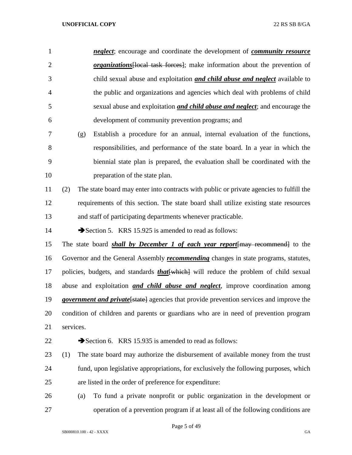| $\mathbf{1}$   | <i>neglect</i> ; encourage and coordinate the development of <i>community resource</i>          |
|----------------|-------------------------------------------------------------------------------------------------|
| $\overline{2}$ | <i>organizations</i> [local task forces]; make information about the prevention of              |
| 3              | child sexual abuse and exploitation <b>and child abuse and neglect</b> available to             |
| $\overline{4}$ | the public and organizations and agencies which deal with problems of child                     |
| 5              | sexual abuse and exploitation <i>and child abuse and neglect</i> ; and encourage the            |
| 6              | development of community prevention programs; and                                               |
| 7              | Establish a procedure for an annual, internal evaluation of the functions,<br>(g)               |
| 8              | responsibilities, and performance of the state board. In a year in which the                    |
| 9              | biennial state plan is prepared, the evaluation shall be coordinated with the                   |
| 10             | preparation of the state plan.                                                                  |
| 11             | The state board may enter into contracts with public or private agencies to fulfill the<br>(2)  |
| 12             | requirements of this section. The state board shall utilize existing state resources            |
| 13             | and staff of participating departments whenever practicable.                                    |
| 14             | Section 5. KRS 15.925 is amended to read as follows:                                            |
| 15             | The state board <b>shall by December 1 of each year report</b> [may recommend] to the           |
| 16             | Governor and the General Assembly <i>recommending</i> changes in state programs, statutes,      |
| 17             | policies, budgets, and standards <i>that</i> [which] will reduce the problem of child sexual    |
| 18             | abuse and exploitation <i>and child abuse and neglect</i> , improve coordination among          |
| 19             | <i>government and private</i> [state] agencies that provide prevention services and improve the |
| 20             | condition of children and parents or guardians who are in need of prevention program            |
| 21             | services.                                                                                       |
| 22             | Section 6. KRS 15.935 is amended to read as follows:                                            |
| 23             | The state board may authorize the disbursement of available money from the trust<br>(1)         |
| 24             | fund, upon legislative appropriations, for exclusively the following purposes, which            |
| 25             | are listed in the order of preference for expenditure:                                          |
| 26             | To fund a private nonprofit or public organization in the development or<br>(a)                 |
| 27             | operation of a prevention program if at least all of the following conditions are               |

Page 5 of 49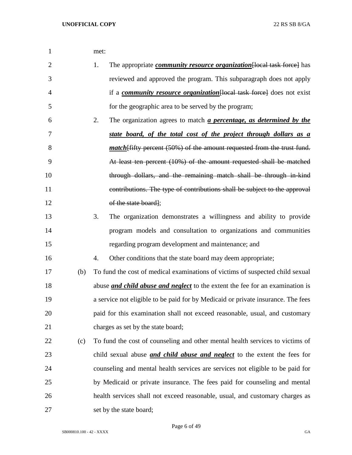| 1              |     | met:                                                                                     |
|----------------|-----|------------------------------------------------------------------------------------------|
| $\overline{2}$ |     | 1.<br>The appropriate <i>community resource organization</i> [local task force] has      |
| 3              |     | reviewed and approved the program. This subparagraph does not apply                      |
| $\overline{4}$ |     | if a <i>community resource organization</i> [local task force] does not exist            |
| 5              |     | for the geographic area to be served by the program;                                     |
| 6              |     | 2.<br>The organization agrees to match <i>a percentage</i> , <i>as determined by the</i> |
| 7              |     | state board, of the total cost of the project through dollars as a                       |
| 8              |     | <i>match</i> [fifty percent (50%) of the amount requested from the trust fund.           |
| 9              |     | At least ten percent (10%) of the amount requested shall be matched                      |
| 10             |     | through dollars, and the remaining match shall be through in kind                        |
| 11             |     | contributions. The type of contributions shall be subject to the approval                |
| 12             |     | of the state board];                                                                     |
| 13             |     | 3.<br>The organization demonstrates a willingness and ability to provide                 |
| 14             |     | program models and consultation to organizations and communities                         |
| 15             |     | regarding program development and maintenance; and                                       |
| 16             |     | 4.<br>Other conditions that the state board may deem appropriate;                        |
| 17             | (b) | To fund the cost of medical examinations of victims of suspected child sexual            |
| 18             |     | abuse <i>and child abuse and neglect</i> to the extent the fee for an examination is     |
| 19             |     | a service not eligible to be paid for by Medicaid or private insurance. The fees         |
| 20             |     | paid for this examination shall not exceed reasonable, usual, and customary              |
| 21             |     | charges as set by the state board;                                                       |
| 22             | (c) | To fund the cost of counseling and other mental health services to victims of            |
| 23             |     | child sexual abuse <i>and child abuse and neglect</i> to the extent the fees for         |
| 24             |     | counseling and mental health services are services not eligible to be paid for           |
| 25             |     | by Medicaid or private insurance. The fees paid for counseling and mental                |
| 26             |     | health services shall not exceed reasonable, usual, and customary charges as             |
| 27             |     | set by the state board;                                                                  |

Page 6 of 49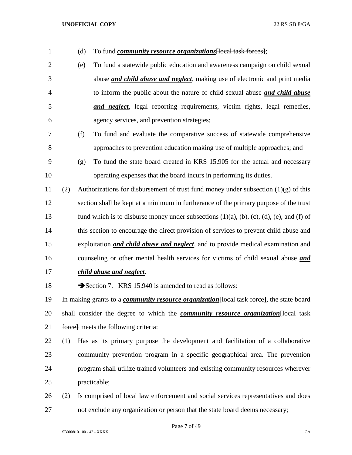| 1              |     | (d) | To fund <i>community resource organizations</i> [local task forces];                                      |
|----------------|-----|-----|-----------------------------------------------------------------------------------------------------------|
| $\overline{2}$ |     | (e) | To fund a statewide public education and awareness campaign on child sexual                               |
| 3              |     |     | abuse <i>and child abuse and neglect</i> , making use of electronic and print media                       |
| $\overline{4}$ |     |     | to inform the public about the nature of child sexual abuse and child abuse                               |
| 5              |     |     | and neglect, legal reporting requirements, victim rights, legal remedies,                                 |
| 6              |     |     | agency services, and prevention strategies;                                                               |
| 7              |     | (f) | To fund and evaluate the comparative success of statewide comprehensive                                   |
| 8              |     |     | approaches to prevention education making use of multiple approaches; and                                 |
| 9              |     | (g) | To fund the state board created in KRS 15.905 for the actual and necessary                                |
| 10             |     |     | operating expenses that the board incurs in performing its duties.                                        |
| 11             | (2) |     | Authorizations for disbursement of trust fund money under subsection $(1)(g)$ of this                     |
| 12             |     |     | section shall be kept at a minimum in furtherance of the primary purpose of the trust                     |
| 13             |     |     | fund which is to disburse money under subsections $(1)(a)$ , $(b)$ , $(c)$ , $(d)$ , $(e)$ , and $(f)$ of |
| 14             |     |     | this section to encourage the direct provision of services to prevent child abuse and                     |
| 15             |     |     | exploitation <i>and child abuse and neglect</i> , and to provide medical examination and                  |
| 16             |     |     | counseling or other mental health services for victims of child sexual abuse <i>and</i>                   |
| 17             |     |     | child abuse and neglect.                                                                                  |
| 18             |     |     | Section 7. KRS 15.940 is amended to read as follows:                                                      |
| 19             |     |     | In making grants to a <i>community resource organization</i> [local task force], the state board          |
| 20             |     |     | shall consider the degree to which the <i>community resource organization</i> [local task                 |
| 21             |     |     | force] meets the following criteria:                                                                      |
| 22             | (1) |     | Has as its primary purpose the development and facilitation of a collaborative                            |
| 23             |     |     | community prevention program in a specific geographical area. The prevention                              |
| 24             |     |     | program shall utilize trained volunteers and existing community resources wherever                        |
| 25             |     |     | practicable;                                                                                              |
| 26             | (2) |     | Is comprised of local law enforcement and social services representatives and does                        |
| 27             |     |     | not exclude any organization or person that the state board deems necessary;                              |

Page 7 of 49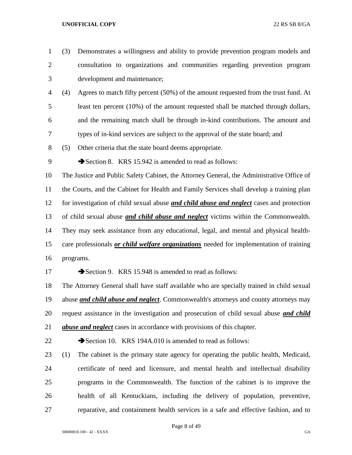(3) Demonstrates a willingness and ability to provide prevention program models and consultation to organizations and communities regarding prevention program development and maintenance; (4) Agrees to match fifty percent (50%) of the amount requested from the trust fund. At least ten percent (10%) of the amount requested shall be matched through dollars, and the remaining match shall be through in-kind contributions. The amount and types of in-kind services are subject to the approval of the state board; and (5) Other criteria that the state board deems appropriate. 9 Section 8. KRS 15.942 is amended to read as follows: The Justice and Public Safety Cabinet, the Attorney General, the Administrative Office of the Courts, and the Cabinet for Health and Family Services shall develop a training plan for investigation of child sexual abuse *and child abuse and neglect* cases and protection of child sexual abuse *and child abuse and neglect* victims within the Commonwealth. They may seek assistance from any educational, legal, and mental and physical health- care professionals *or child welfare organizations* needed for implementation of training programs. 17 Section 9. KRS 15.948 is amended to read as follows: The Attorney General shall have staff available who are specially trained in child sexual abuse *and child abuse and neglect*. Commonwealth's attorneys and county attorneys may request assistance in the investigation and prosecution of child sexual abuse *and child abuse and neglect* cases in accordance with provisions of this chapter. 22 Section 10. KRS 194A.010 is amended to read as follows: (1) The cabinet is the primary state agency for operating the public health, Medicaid, certificate of need and licensure, and mental health and intellectual disability programs in the Commonwealth. The function of the cabinet is to improve the health of all Kentuckians, including the delivery of population, preventive, reparative, and containment health services in a safe and effective fashion, and to

Page 8 of 49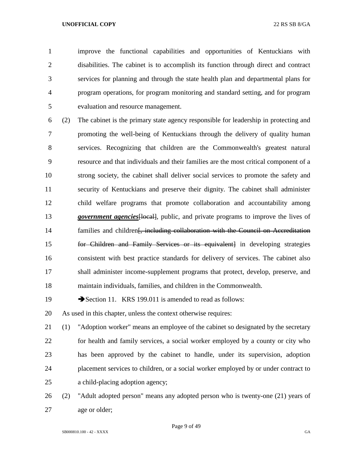improve the functional capabilities and opportunities of Kentuckians with disabilities. The cabinet is to accomplish its function through direct and contract services for planning and through the state health plan and departmental plans for program operations, for program monitoring and standard setting, and for program evaluation and resource management.

 (2) The cabinet is the primary state agency responsible for leadership in protecting and promoting the well-being of Kentuckians through the delivery of quality human services. Recognizing that children are the Commonwealth's greatest natural resource and that individuals and their families are the most critical component of a strong society, the cabinet shall deliver social services to promote the safety and security of Kentuckians and preserve their dignity. The cabinet shall administer child welfare programs that promote collaboration and accountability among *government agencies*[local], public, and private programs to improve the lives of 14 families and children<del>[, including collaboration with the Council on Accreditation</del> for Children and Family Services or its equivalent] in developing strategies consistent with best practice standards for delivery of services. The cabinet also shall administer income-supplement programs that protect, develop, preserve, and maintain individuals, families, and children in the Commonwealth.

19 Section 11. KRS 199.011 is amended to read as follows:

As used in this chapter, unless the context otherwise requires:

 (1) "Adoption worker" means an employee of the cabinet so designated by the secretary for health and family services, a social worker employed by a county or city who has been approved by the cabinet to handle, under its supervision, adoption placement services to children, or a social worker employed by or under contract to a child-placing adoption agency;

 (2) "Adult adopted person" means any adopted person who is twenty-one (21) years of age or older;

Page 9 of 49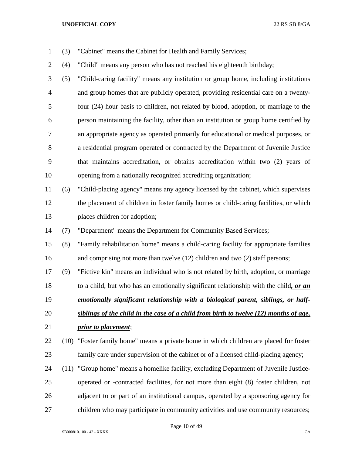- (3) "Cabinet" means the Cabinet for Health and Family Services;
- (4) "Child" means any person who has not reached his eighteenth birthday;

 (5) "Child-caring facility" means any institution or group home, including institutions and group homes that are publicly operated, providing residential care on a twenty- four (24) hour basis to children, not related by blood, adoption, or marriage to the person maintaining the facility, other than an institution or group home certified by an appropriate agency as operated primarily for educational or medical purposes, or a residential program operated or contracted by the Department of Juvenile Justice that maintains accreditation, or obtains accreditation within two (2) years of opening from a nationally recognized accrediting organization;

 (6) "Child-placing agency" means any agency licensed by the cabinet, which supervises the placement of children in foster family homes or child-caring facilities, or which places children for adoption;

(7) "Department" means the Department for Community Based Services;

 (8) "Family rehabilitation home" means a child-caring facility for appropriate families and comprising not more than twelve (12) children and two (2) staff persons;

(9) "Fictive kin" means an individual who is not related by birth, adoption, or marriage

to a child, but who has an emotionally significant relationship with the child*, or an* 

*emotionally significant relationship with a biological parent, siblings, or half-*

- *siblings of the child in the case of a child from birth to twelve (12) months of age, prior to placement*;
- (10) "Foster family home" means a private home in which children are placed for foster family care under supervision of the cabinet or of a licensed child-placing agency;
- (11) "Group home" means a homelike facility, excluding Department of Juvenile Justice- operated or -contracted facilities, for not more than eight (8) foster children, not adjacent to or part of an institutional campus, operated by a sponsoring agency for children who may participate in community activities and use community resources;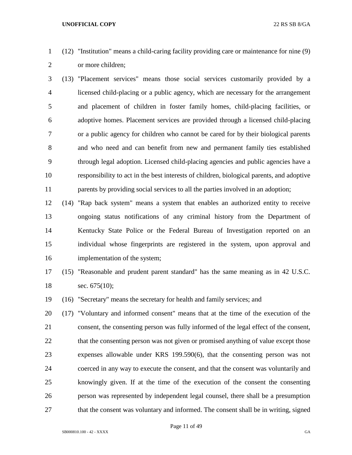- (12) "Institution" means a child-caring facility providing care or maintenance for nine (9) or more children;
- (13) "Placement services" means those social services customarily provided by a licensed child-placing or a public agency, which are necessary for the arrangement and placement of children in foster family homes, child-placing facilities, or adoptive homes. Placement services are provided through a licensed child-placing or a public agency for children who cannot be cared for by their biological parents and who need and can benefit from new and permanent family ties established through legal adoption. Licensed child-placing agencies and public agencies have a responsibility to act in the best interests of children, biological parents, and adoptive parents by providing social services to all the parties involved in an adoption;
- (14) "Rap back system" means a system that enables an authorized entity to receive ongoing status notifications of any criminal history from the Department of Kentucky State Police or the Federal Bureau of Investigation reported on an individual whose fingerprints are registered in the system, upon approval and implementation of the system;
- (15) "Reasonable and prudent parent standard" has the same meaning as in 42 U.S.C. 18 sec. 675(10);
- (16) "Secretary" means the secretary for health and family services; and
- (17) "Voluntary and informed consent" means that at the time of the execution of the consent, the consenting person was fully informed of the legal effect of the consent, 22 that the consenting person was not given or promised anything of value except those expenses allowable under KRS 199.590(6), that the consenting person was not coerced in any way to execute the consent, and that the consent was voluntarily and knowingly given. If at the time of the execution of the consent the consenting person was represented by independent legal counsel, there shall be a presumption 27 that the consent was voluntary and informed. The consent shall be in writing, signed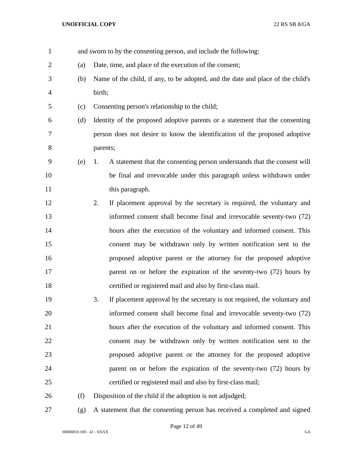| $\mathbf{1}$   |     |          | and sworn to by the consenting person, and include the following:               |
|----------------|-----|----------|---------------------------------------------------------------------------------|
| $\overline{2}$ | (a) |          | Date, time, and place of the execution of the consent;                          |
| 3              | (b) |          | Name of the child, if any, to be adopted, and the date and place of the child's |
| $\overline{4}$ |     | birth;   |                                                                                 |
| 5              | (c) |          | Consenting person's relationship to the child;                                  |
| 6              | (d) |          | Identity of the proposed adoptive parents or a statement that the consenting    |
| $\tau$         |     |          | person does not desire to know the identification of the proposed adoptive      |
| 8              |     | parents; |                                                                                 |
| 9              | (e) | 1.       | A statement that the consenting person understands that the consent will        |
| 10             |     |          | be final and irrevocable under this paragraph unless withdrawn under            |
| 11             |     |          | this paragraph.                                                                 |
| 12             |     | 2.       | If placement approval by the secretary is required, the voluntary and           |
| 13             |     |          | informed consent shall become final and irrevocable seventy-two (72)            |
| 14             |     |          | hours after the execution of the voluntary and informed consent. This           |
| 15             |     |          | consent may be withdrawn only by written notification sent to the               |
| 16             |     |          | proposed adoptive parent or the attorney for the proposed adoptive              |
| 17             |     |          | parent on or before the expiration of the seventy-two (72) hours by             |
| 18             |     |          | certified or registered mail and also by first-class mail.                      |
| 19             |     | 3.       | If placement approval by the secretary is not required, the voluntary and       |
| 20             |     |          | informed consent shall become final and irrevocable seventy-two (72)            |
| 21             |     |          | hours after the execution of the voluntary and informed consent. This           |
| 22             |     |          | consent may be withdrawn only by written notification sent to the               |
| 23             |     |          | proposed adoptive parent or the attorney for the proposed adoptive              |
| 24             |     |          | parent on or before the expiration of the seventy-two (72) hours by             |
| 25             |     |          | certified or registered mail and also by first-class mail;                      |
| 26             | (f) |          | Disposition of the child if the adoption is not adjudged;                       |
| 27             | (g) |          | A statement that the consenting person has received a completed and signed      |

Page 12 of 49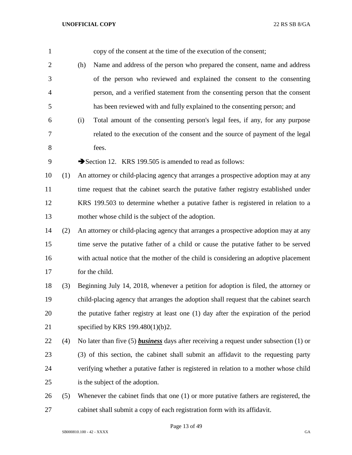| $\mathbf{1}$   |     | copy of the consent at the time of the execution of the consent;                              |
|----------------|-----|-----------------------------------------------------------------------------------------------|
| $\overline{2}$ |     | Name and address of the person who prepared the consent, name and address<br>(h)              |
| 3              |     | of the person who reviewed and explained the consent to the consenting                        |
| $\overline{4}$ |     | person, and a verified statement from the consenting person that the consent                  |
| 5              |     | has been reviewed with and fully explained to the consenting person; and                      |
| 6              |     | Total amount of the consenting person's legal fees, if any, for any purpose<br>(i)            |
| 7              |     | related to the execution of the consent and the source of payment of the legal                |
| 8              |     | fees.                                                                                         |
| 9              |     | Section 12. KRS 199.505 is amended to read as follows:                                        |
| 10             | (1) | An attorney or child-placing agency that arranges a prospective adoption may at any           |
| 11             |     | time request that the cabinet search the putative father registry established under           |
| 12             |     | KRS 199.503 to determine whether a putative father is registered in relation to a             |
| 13             |     | mother whose child is the subject of the adoption.                                            |
| 14             | (2) | An attorney or child-placing agency that arranges a prospective adoption may at any           |
| 15             |     | time serve the putative father of a child or cause the putative father to be served           |
| 16             |     | with actual notice that the mother of the child is considering an adoptive placement          |
| 17             |     | for the child.                                                                                |
| 18             | (3) | Beginning July 14, 2018, whenever a petition for adoption is filed, the attorney or           |
| 19             |     | child-placing agency that arranges the adoption shall request that the cabinet search         |
| 20             |     | the putative father registry at least one (1) day after the expiration of the period          |
| 21             |     | specified by KRS 199.480(1)(b)2.                                                              |
| 22             | (4) | No later than five (5) <b>business</b> days after receiving a request under subsection (1) or |
| 23             |     | (3) of this section, the cabinet shall submit an affidavit to the requesting party            |
| 24             |     | verifying whether a putative father is registered in relation to a mother whose child         |
| 25             |     | is the subject of the adoption.                                                               |
| 26             | (5) | Whenever the cabinet finds that one (1) or more putative fathers are registered, the          |
| 27             |     | cabinet shall submit a copy of each registration form with its affidavit.                     |

Page 13 of 49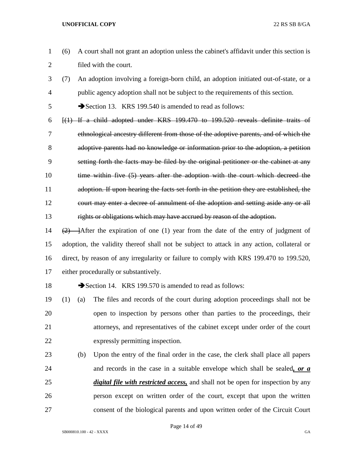- (6) A court shall not grant an adoption unless the cabinet's affidavit under this section is filed with the court.
- (7) An adoption involving a foreign-born child, an adoption initiated out-of-state, or a public agency adoption shall not be subject to the requirements of this section.

Section 13. KRS 199.540 is amended to read as follows:

- [(1) If a child adopted under KRS 199.470 to 199.520 reveals definite traits of ethnological ancestry different from those of the adoptive parents, and of which the adoptive parents had no knowledge or information prior to the adoption, a petition setting forth the facts may be filed by the original petitioner or the cabinet at any 10 time within five (5) years after the adoption with the court which decreed the adoption. If upon hearing the facts set forth in the petition they are established, the court may enter a decree of annulment of the adoption and setting aside any or all rights or obligations which may have accrued by reason of the adoption.
- 14  $(2)$  After the expiration of one (1) year from the date of the entry of judgment of adoption, the validity thereof shall not be subject to attack in any action, collateral or direct, by reason of any irregularity or failure to comply with KRS 199.470 to 199.520, either procedurally or substantively.
- 

18 Section 14. KRS 199.570 is amended to read as follows:

- (1) (a) The files and records of the court during adoption proceedings shall not be open to inspection by persons other than parties to the proceedings, their attorneys, and representatives of the cabinet except under order of the court expressly permitting inspection.
- (b) Upon the entry of the final order in the case, the clerk shall place all papers and records in the case in a suitable envelope which shall be sealed*, or a digital file with restricted access,* and shall not be open for inspection by any person except on written order of the court, except that upon the written consent of the biological parents and upon written order of the Circuit Court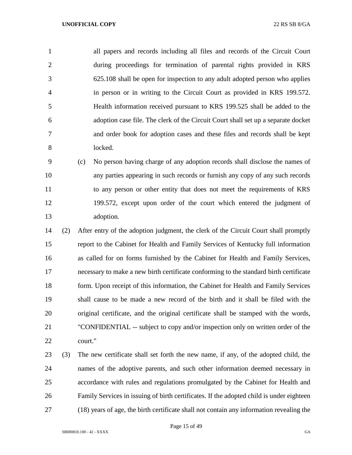all papers and records including all files and records of the Circuit Court during proceedings for termination of parental rights provided in KRS 625.108 shall be open for inspection to any adult adopted person who applies in person or in writing to the Circuit Court as provided in KRS 199.572. Health information received pursuant to KRS 199.525 shall be added to the adoption case file. The clerk of the Circuit Court shall set up a separate docket and order book for adoption cases and these files and records shall be kept locked.

 (c) No person having charge of any adoption records shall disclose the names of any parties appearing in such records or furnish any copy of any such records to any person or other entity that does not meet the requirements of KRS 199.572, except upon order of the court which entered the judgment of adoption.

 (2) After entry of the adoption judgment, the clerk of the Circuit Court shall promptly report to the Cabinet for Health and Family Services of Kentucky full information as called for on forms furnished by the Cabinet for Health and Family Services, necessary to make a new birth certificate conforming to the standard birth certificate 18 form. Upon receipt of this information, the Cabinet for Health and Family Services shall cause to be made a new record of the birth and it shall be filed with the original certificate, and the original certificate shall be stamped with the words, "CONFIDENTIAL -- subject to copy and/or inspection only on written order of the court."

 (3) The new certificate shall set forth the new name, if any, of the adopted child, the names of the adoptive parents, and such other information deemed necessary in accordance with rules and regulations promulgated by the Cabinet for Health and Family Services in issuing of birth certificates. If the adopted child is under eighteen (18) years of age, the birth certificate shall not contain any information revealing the

Page 15 of 49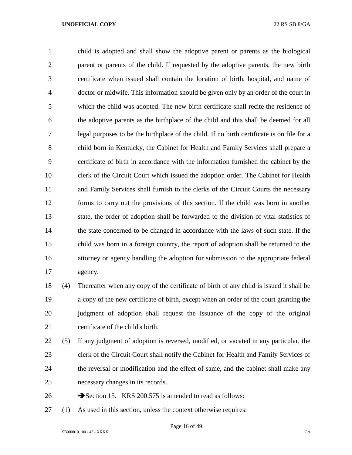child is adopted and shall show the adoptive parent or parents as the biological parent or parents of the child. If requested by the adoptive parents, the new birth certificate when issued shall contain the location of birth, hospital, and name of doctor or midwife. This information should be given only by an order of the court in which the child was adopted. The new birth certificate shall recite the residence of the adoptive parents as the birthplace of the child and this shall be deemed for all legal purposes to be the birthplace of the child. If no birth certificate is on file for a child born in Kentucky, the Cabinet for Health and Family Services shall prepare a certificate of birth in accordance with the information furnished the cabinet by the clerk of the Circuit Court which issued the adoption order. The Cabinet for Health and Family Services shall furnish to the clerks of the Circuit Courts the necessary forms to carry out the provisions of this section. If the child was born in another state, the order of adoption shall be forwarded to the division of vital statistics of the state concerned to be changed in accordance with the laws of such state. If the child was born in a foreign country, the report of adoption shall be returned to the attorney or agency handling the adoption for submission to the appropriate federal agency.

 (4) Thereafter when any copy of the certificate of birth of any child is issued it shall be a copy of the new certificate of birth, except when an order of the court granting the judgment of adoption shall request the issuance of the copy of the original certificate of the child's birth.

 (5) If any judgment of adoption is reversed, modified, or vacated in any particular, the clerk of the Circuit Court shall notify the Cabinet for Health and Family Services of the reversal or modification and the effect of same, and the cabinet shall make any necessary changes in its records.

- 26 Section 15. KRS 200.575 is amended to read as follows:
- (1) As used in this section, unless the context otherwise requires: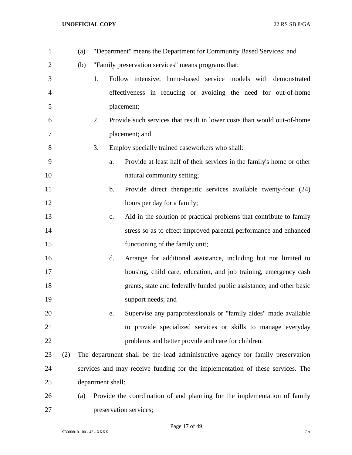| $\mathbf{1}$   |     | (a) |    |                   | "Department" means the Department for Community Based Services; and            |
|----------------|-----|-----|----|-------------------|--------------------------------------------------------------------------------|
| $\overline{2}$ |     | (b) |    |                   | "Family preservation services" means programs that:                            |
| 3              |     |     | 1. |                   | Follow intensive, home-based service models with demonstrated                  |
| $\overline{4}$ |     |     |    |                   | effectiveness in reducing or avoiding the need for out-of-home                 |
| 5              |     |     |    |                   | placement;                                                                     |
| 6              |     |     | 2. |                   | Provide such services that result in lower costs than would out-of-home        |
| 7              |     |     |    |                   | placement; and                                                                 |
| 8              |     |     | 3. |                   | Employ specially trained caseworkers who shall:                                |
| 9              |     |     |    | a.                | Provide at least half of their services in the family's home or other          |
| 10             |     |     |    |                   | natural community setting;                                                     |
| 11             |     |     |    | b.                | Provide direct therapeutic services available twenty-four (24)                 |
| 12             |     |     |    |                   | hours per day for a family;                                                    |
| 13             |     |     |    | $c_{\cdot}$       | Aid in the solution of practical problems that contribute to family            |
| 14             |     |     |    |                   | stress so as to effect improved parental performance and enhanced              |
| 15             |     |     |    |                   | functioning of the family unit;                                                |
| 16             |     |     |    | d.                | Arrange for additional assistance, including but not limited to                |
| 17             |     |     |    |                   | housing, child care, education, and job training, emergency cash               |
| 18             |     |     |    |                   | grants, state and federally funded public assistance, and other basic          |
| 19             |     |     |    |                   | support needs; and                                                             |
| 20             |     |     |    | e.                | Supervise any paraprofessionals or "family aides" made available               |
| 21             |     |     |    |                   | to provide specialized services or skills to manage everyday                   |
| 22             |     |     |    |                   | problems and better provide and care for children.                             |
| 23             | (2) |     |    |                   | The department shall be the lead administrative agency for family preservation |
| 24             |     |     |    |                   | services and may receive funding for the implementation of these services. The |
| 25             |     |     |    | department shall: |                                                                                |
| 26             |     | (a) |    |                   | Provide the coordination of and planning for the implementation of family      |
| 27             |     |     |    |                   | preservation services;                                                         |

Page 17 of 49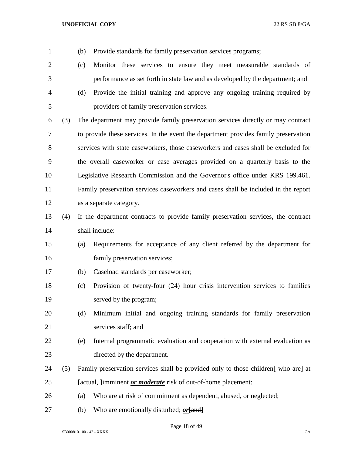| 1              |     | (b)<br>Provide standards for family preservation services programs;                 |
|----------------|-----|-------------------------------------------------------------------------------------|
| $\overline{2}$ |     | Monitor these services to ensure they meet measurable standards of<br>(c)           |
| 3              |     | performance as set forth in state law and as developed by the department; and       |
| $\overline{4}$ |     | Provide the initial training and approve any ongoing training required by<br>(d)    |
| 5              |     | providers of family preservation services.                                          |
| 6              | (3) | The department may provide family preservation services directly or may contract    |
| 7              |     | to provide these services. In the event the department provides family preservation |
| 8              |     | services with state caseworkers, those caseworkers and cases shall be excluded for  |
| 9              |     | the overall caseworker or case averages provided on a quarterly basis to the        |
| 10             |     | Legislative Research Commission and the Governor's office under KRS 199.461.        |
| 11             |     | Family preservation services caseworkers and cases shall be included in the report  |
| 12             |     | as a separate category.                                                             |
| 13             | (4) | If the department contracts to provide family preservation services, the contract   |
| 14             |     | shall include:                                                                      |
| 15             |     | Requirements for acceptance of any client referred by the department for<br>(a)     |
| 16             |     | family preservation services;                                                       |
| 17             |     | Caseload standards per caseworker;<br>(b)                                           |
| 18             |     | Provision of twenty-four (24) hour crisis intervention services to families<br>(c)  |
| 19             |     | served by the program;                                                              |
| 20             |     | (d)<br>Minimum initial and ongoing training standards for family preservation       |
| 21             |     | services staff; and                                                                 |
| 22             |     | Internal programmatic evaluation and cooperation with external evaluation as<br>(e) |
| 23             |     | directed by the department.                                                         |
| 24             | (5) | Family preservation services shall be provided only to those children who are at    |
| 25             |     | [actual, ]imminent <i>or moderate</i> risk of out-of-home placement:                |
| 26             |     | Who are at risk of commitment as dependent, abused, or neglected;<br>(a)            |
|                |     |                                                                                     |

(b) Who are emotionally disturbed; *or*[and]

Page 18 of 49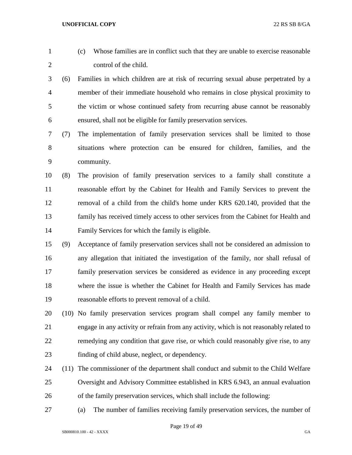|  | (c) Whose families are in conflict such that they are unable to exercise reasonable |
|--|-------------------------------------------------------------------------------------|
|  | control of the child.                                                               |
|  |                                                                                     |

- (6) Families in which children are at risk of recurring sexual abuse perpetrated by a member of their immediate household who remains in close physical proximity to the victim or whose continued safety from recurring abuse cannot be reasonably ensured, shall not be eligible for family preservation services.
- (7) The implementation of family preservation services shall be limited to those situations where protection can be ensured for children, families, and the community.
- (8) The provision of family preservation services to a family shall constitute a reasonable effort by the Cabinet for Health and Family Services to prevent the removal of a child from the child's home under KRS 620.140, provided that the family has received timely access to other services from the Cabinet for Health and Family Services for which the family is eligible.
- (9) Acceptance of family preservation services shall not be considered an admission to any allegation that initiated the investigation of the family, nor shall refusal of family preservation services be considered as evidence in any proceeding except where the issue is whether the Cabinet for Health and Family Services has made reasonable efforts to prevent removal of a child.
- (10) No family preservation services program shall compel any family member to engage in any activity or refrain from any activity, which is not reasonably related to remedying any condition that gave rise, or which could reasonably give rise, to any finding of child abuse, neglect, or dependency.
- (11) The commissioner of the department shall conduct and submit to the Child Welfare Oversight and Advisory Committee established in KRS 6.943, an annual evaluation of the family preservation services, which shall include the following:
- (a) The number of families receiving family preservation services, the number of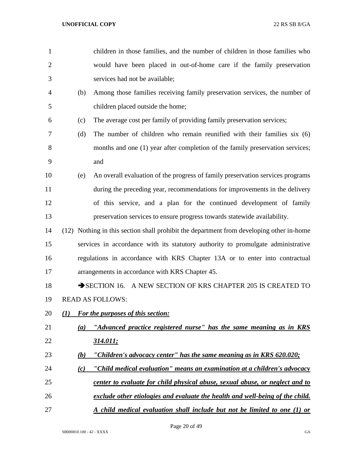| $\mathbf{1}$   |                  | children in those families, and the number of children in those families who             |
|----------------|------------------|------------------------------------------------------------------------------------------|
| $\overline{2}$ |                  | would have been placed in out-of-home care if the family preservation                    |
| 3              |                  | services had not be available;                                                           |
| 4              | (b)              | Among those families receiving family preservation services, the number of               |
| 5              |                  | children placed outside the home;                                                        |
| 6              | (c)              | The average cost per family of providing family preservation services;                   |
| 7              | (d)              | The number of children who remain reunified with their families six (6)                  |
| 8              |                  | months and one (1) year after completion of the family preservation services;            |
| 9              |                  | and                                                                                      |
| 10             | (e)              | An overall evaluation of the progress of family preservation services programs           |
| 11             |                  | during the preceding year, recommendations for improvements in the delivery              |
| 12             |                  | of this service, and a plan for the continued development of family                      |
| 13             |                  | preservation services to ensure progress towards statewide availability.                 |
| 14             |                  | (12) Nothing in this section shall prohibit the department from developing other in-home |
| 15             |                  | services in accordance with its statutory authority to promulgate administrative         |
| 16             |                  | regulations in accordance with KRS Chapter 13A or to enter into contractual              |
| 17             |                  | arrangements in accordance with KRS Chapter 45.                                          |
| 18             |                  | SECTION 16. A NEW SECTION OF KRS CHAPTER 205 IS CREATED TO                               |
| 19             |                  | <b>READ AS FOLLOWS:</b>                                                                  |
| 20             | $\mathcal{L}(I)$ | For the purposes of this section:                                                        |
| 21             | (a)              | "Advanced practice registered nurse" has the same meaning as in KRS                      |
| 22             |                  | <u>314.011;</u>                                                                          |
| 23             | (b)              | "Children's advocacy center" has the same meaning as in KRS 620.020;                     |
| 24             | (c)              | "Child medical evaluation" means an examination at a children's advocacy                 |
| 25             |                  | center to evaluate for child physical abuse, sexual abuse, or neglect and to             |
| 26             |                  | exclude other etiologies and evaluate the health and well-being of the child.            |
| 27             |                  | A child medical evaluation shall include but not be limited to one (1) or                |

Page 20 of 49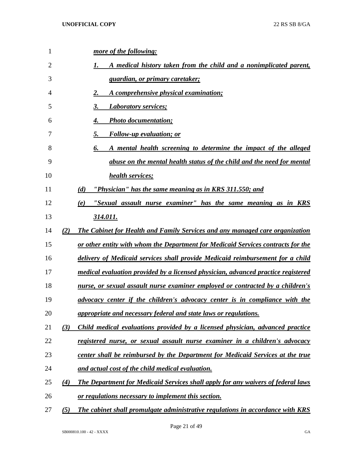| $\mathbf{1}$   |     | more of the following:                                                            |
|----------------|-----|-----------------------------------------------------------------------------------|
| $\overline{2}$ |     | A medical history taken from the child and a nonimplicated parent,<br>1.          |
| 3              |     | <u>guardian, or primary caretaker;</u>                                            |
| 4              |     | A comprehensive physical examination;<br>2.                                       |
| 5              |     | 3.<br><b>Laboratory services;</b>                                                 |
| 6              |     | <b>Photo documentation;</b><br>4.                                                 |
| 7              |     | <b>Follow-up evaluation; or</b><br>5.                                             |
| 8              |     | 6.<br>A mental health screening to determine the impact of the alleged            |
| 9              |     | abuse on the mental health status of the child and the need for mental            |
| 10             |     | health services;                                                                  |
| 11             |     | (d)<br>"Physician" has the same meaning as in KRS 311.550; and                    |
| 12             |     | "Sexual assault nurse examiner" has the same meaning as in KRS<br>(e)             |
| 13             |     | 314.011.                                                                          |
| 14             | (2) | The Cabinet for Health and Family Services and any managed care organization      |
| 15             |     | or other entity with whom the Department for Medicaid Services contracts for the  |
| 16             |     | delivery of Medicaid services shall provide Medicaid reimbursement for a child    |
| 17             |     | medical evaluation provided by a licensed physician, advanced practice registered |
| 18             |     | nurse, or sexual assault nurse examiner employed or contracted by a children's    |
| 19             |     | advocacy center if the children's advocacy center is in compliance with the       |
| 20             |     | appropriate and necessary federal and state laws or regulations.                  |
| 21             | (3) | Child medical evaluations provided by a licensed physician, advanced practice     |
| 22             |     | registered nurse, or sexual assault nurse examiner in a children's advocacy       |
| 23             |     | center shall be reimbursed by the Department for Medicaid Services at the true    |
| 24             |     | and actual cost of the child medical evaluation.                                  |
| 25             | (4) | The Department for Medicaid Services shall apply for any waivers of federal laws  |
| 26             |     | or regulations necessary to implement this section.                               |
|                |     |                                                                                   |

*(5) The cabinet shall promulgate administrative regulations in accordance with KRS*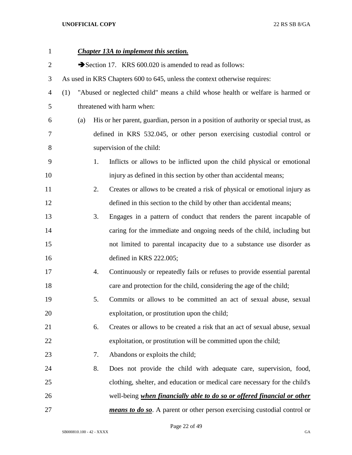| $\mathbf{1}$   |     |     |    | <b>Chapter 13A to implement this section.</b>                                       |
|----------------|-----|-----|----|-------------------------------------------------------------------------------------|
| $\overline{2}$ |     |     |    | Section 17. KRS 600.020 is amended to read as follows:                              |
| 3              |     |     |    | As used in KRS Chapters 600 to 645, unless the context otherwise requires:          |
| $\overline{4}$ | (1) |     |    | "Abused or neglected child" means a child whose health or welfare is harmed or      |
| 5              |     |     |    | threatened with harm when:                                                          |
| 6              |     | (a) |    | His or her parent, guardian, person in a position of authority or special trust, as |
| 7              |     |     |    | defined in KRS 532.045, or other person exercising custodial control or             |
| 8              |     |     |    | supervision of the child:                                                           |
| 9              |     |     | 1. | Inflicts or allows to be inflicted upon the child physical or emotional             |
| 10             |     |     |    | injury as defined in this section by other than accidental means;                   |
| 11             |     |     | 2. | Creates or allows to be created a risk of physical or emotional injury as           |
| 12             |     |     |    | defined in this section to the child by other than accidental means;                |
| 13             |     |     | 3. | Engages in a pattern of conduct that renders the parent incapable of                |
| 14             |     |     |    | caring for the immediate and ongoing needs of the child, including but              |
| 15             |     |     |    | not limited to parental incapacity due to a substance use disorder as               |
| 16             |     |     |    | defined in KRS 222.005;                                                             |
| 17             |     |     | 4. | Continuously or repeatedly fails or refuses to provide essential parental           |
| 18             |     |     |    | care and protection for the child, considering the age of the child;                |
| 19             |     |     | 5. | Commits or allows to be committed an act of sexual abuse, sexual                    |
| 20             |     |     |    | exploitation, or prostitution upon the child;                                       |
| 21             |     |     | 6. | Creates or allows to be created a risk that an act of sexual abuse, sexual          |
| 22             |     |     |    | exploitation, or prostitution will be committed upon the child;                     |
| 23             |     |     | 7. | Abandons or exploits the child;                                                     |
| 24             |     |     | 8. | Does not provide the child with adequate care, supervision, food,                   |
| 25             |     |     |    | clothing, shelter, and education or medical care necessary for the child's          |
| 26             |     |     |    | well-being when financially able to do so or offered financial or other             |
| 27             |     |     |    | means to do so. A parent or other person exercising custodial control or            |

Page 22 of 49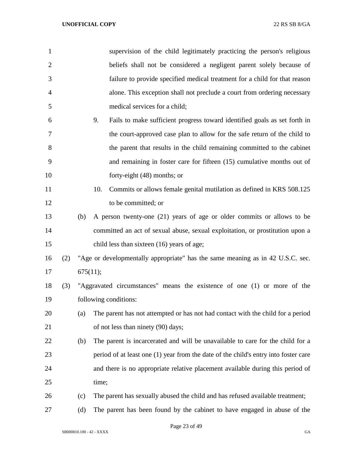| 1              |     |          | supervision of the child legitimately practicing the person's religious             |
|----------------|-----|----------|-------------------------------------------------------------------------------------|
| $\overline{2}$ |     |          | beliefs shall not be considered a negligent parent solely because of                |
| 3              |     |          | failure to provide specified medical treatment for a child for that reason          |
| $\overline{4}$ |     |          | alone. This exception shall not preclude a court from ordering necessary            |
| 5              |     |          | medical services for a child;                                                       |
| 6              |     |          | Fails to make sufficient progress toward identified goals as set forth in<br>9.     |
| 7              |     |          | the court-approved case plan to allow for the safe return of the child to           |
| 8              |     |          | the parent that results in the child remaining committed to the cabinet             |
| 9              |     |          | and remaining in foster care for fifteen (15) cumulative months out of              |
| 10             |     |          | forty-eight (48) months; or                                                         |
| 11             |     |          | 10.<br>Commits or allows female genital mutilation as defined in KRS 508.125        |
| 12             |     |          | to be committed; or                                                                 |
| 13             |     | (b)      | A person twenty-one (21) years of age or older commits or allows to be              |
| 14             |     |          | committed an act of sexual abuse, sexual exploitation, or prostitution upon a       |
| 15             |     |          | child less than sixteen (16) years of age;                                          |
| 16             | (2) |          | "Age or developmentally appropriate" has the same meaning as in 42 U.S.C. sec.      |
| 17             |     | 675(11); |                                                                                     |
| 18             | (3) |          | "Aggravated circumstances" means the existence of one (1) or more of the            |
| 19             |     |          | following conditions:                                                               |
| 20             |     | (a)      | The parent has not attempted or has not had contact with the child for a period     |
| 21             |     |          | of not less than ninety (90) days;                                                  |
| 22             |     | (b)      | The parent is incarcerated and will be unavailable to care for the child for a      |
| 23             |     |          | period of at least one (1) year from the date of the child's entry into foster care |
| 24             |     |          | and there is no appropriate relative placement available during this period of      |
| 25             |     |          | time;                                                                               |
| 26             |     | (c)      | The parent has sexually abused the child and has refused available treatment;       |
| 27             |     | (d)      | The parent has been found by the cabinet to have engaged in abuse of the            |

Page 23 of 49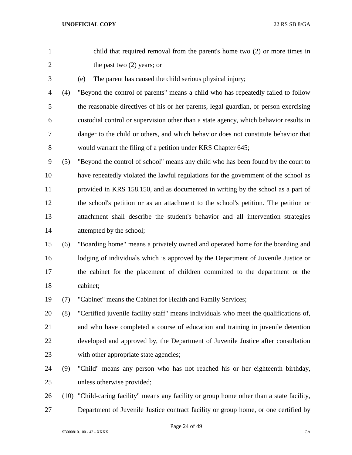| $\mathbf{1}$   |     | child that required removal from the parent's home two $(2)$ or more times in              |
|----------------|-----|--------------------------------------------------------------------------------------------|
| $\overline{2}$ |     | the past two $(2)$ years; or                                                               |
| 3              |     | The parent has caused the child serious physical injury;<br>(e)                            |
| 4              | (4) | "Beyond the control of parents" means a child who has repeatedly failed to follow          |
| 5              |     | the reasonable directives of his or her parents, legal guardian, or person exercising      |
| 6              |     | custodial control or supervision other than a state agency, which behavior results in      |
| 7              |     | danger to the child or others, and which behavior does not constitute behavior that        |
| 8              |     | would warrant the filing of a petition under KRS Chapter 645;                              |
| 9              | (5) | "Beyond the control of school" means any child who has been found by the court to          |
| 10             |     | have repeatedly violated the lawful regulations for the government of the school as        |
| 11             |     | provided in KRS 158.150, and as documented in writing by the school as a part of           |
| 12             |     | the school's petition or as an attachment to the school's petition. The petition or        |
| 13             |     | attachment shall describe the student's behavior and all intervention strategies           |
| 14             |     | attempted by the school;                                                                   |
| 15             | (6) | "Boarding home" means a privately owned and operated home for the boarding and             |
| 16             |     | lodging of individuals which is approved by the Department of Juvenile Justice or          |
| 17             |     | the cabinet for the placement of children committed to the department or the               |
| 18             |     | cabinet;                                                                                   |
| 19             | (7) | "Cabinet" means the Cabinet for Health and Family Services;                                |
| 20             | (8) | "Certified juvenile facility staff" means individuals who meet the qualifications of,      |
| 21             |     | and who have completed a course of education and training in juvenile detention            |
| 22             |     | developed and approved by, the Department of Juvenile Justice after consultation           |
| 23             |     | with other appropriate state agencies;                                                     |
| 24             | (9) | "Child" means any person who has not reached his or her eighteenth birthday,               |
| 25             |     | unless otherwise provided;                                                                 |
| 26             |     | (10) "Child-caring facility" means any facility or group home other than a state facility, |

Department of Juvenile Justice contract facility or group home, or one certified by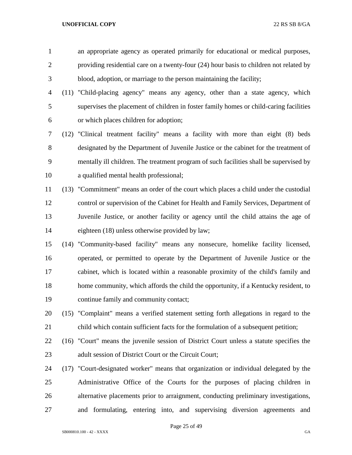an appropriate agency as operated primarily for educational or medical purposes, providing residential care on a twenty-four (24) hour basis to children not related by blood, adoption, or marriage to the person maintaining the facility;

- (11) "Child-placing agency" means any agency, other than a state agency, which supervises the placement of children in foster family homes or child-caring facilities or which places children for adoption;
- (12) "Clinical treatment facility" means a facility with more than eight (8) beds designated by the Department of Juvenile Justice or the cabinet for the treatment of mentally ill children. The treatment program of such facilities shall be supervised by a qualified mental health professional;
- (13) "Commitment" means an order of the court which places a child under the custodial control or supervision of the Cabinet for Health and Family Services, Department of Juvenile Justice, or another facility or agency until the child attains the age of eighteen (18) unless otherwise provided by law;
- (14) "Community-based facility" means any nonsecure, homelike facility licensed, operated, or permitted to operate by the Department of Juvenile Justice or the cabinet, which is located within a reasonable proximity of the child's family and home community, which affords the child the opportunity, if a Kentucky resident, to continue family and community contact;
- (15) "Complaint" means a verified statement setting forth allegations in regard to the child which contain sufficient facts for the formulation of a subsequent petition;
- (16) "Court" means the juvenile session of District Court unless a statute specifies the 23 adult session of District Court or the Circuit Court:
- (17) "Court-designated worker" means that organization or individual delegated by the Administrative Office of the Courts for the purposes of placing children in alternative placements prior to arraignment, conducting preliminary investigations, and formulating, entering into, and supervising diversion agreements and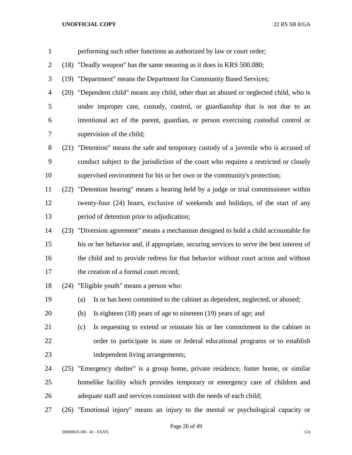| $\mathbf{1}$   |      | performing such other functions as authorized by law or court order;                     |
|----------------|------|------------------------------------------------------------------------------------------|
| $\overline{2}$ |      | (18) "Deadly weapon" has the same meaning as it does in KRS 500.080;                     |
| 3              |      | (19) "Department" means the Department for Community Based Services;                     |
| $\overline{4}$ | (20) | "Dependent child" means any child, other than an abused or neglected child, who is       |
| 5              |      | under improper care, custody, control, or guardianship that is not due to an             |
| 6              |      | intentional act of the parent, guardian, or person exercising custodial control or       |
| 7              |      | supervision of the child;                                                                |
| 8              | (21) | "Detention" means the safe and temporary custody of a juvenile who is accused of         |
| 9              |      | conduct subject to the jurisdiction of the court who requires a restricted or closely    |
| 10             |      | supervised environment for his or her own or the community's protection;                 |
| 11             |      | (22) "Detention hearing" means a hearing held by a judge or trial commissioner within    |
| 12             |      | twenty-four (24) hours, exclusive of weekends and holidays, of the start of any          |
| 13             |      | period of detention prior to adjudication;                                               |
| 14             |      | (23) "Diversion agreement" means a mechanism designed to hold a child accountable for    |
| 15             |      | his or her behavior and, if appropriate, securing services to serve the best interest of |
| 16             |      | the child and to provide redress for that behavior without court action and without      |
| 17             |      | the creation of a formal court record;                                                   |
| 18             |      | (24) "Eligible youth" means a person who:                                                |
| 19             |      | Is or has been committed to the cabinet as dependent, neglected, or abused;<br>(a)       |
| 20             |      | Is eighteen $(18)$ years of age to nineteen $(19)$ years of age; and<br>(b)              |
| 21             |      | Is requesting to extend or reinstate his or her commitment to the cabinet in<br>(c)      |
| 22             |      | order to participate in state or federal educational programs or to establish            |
| 23             |      | independent living arrangements;                                                         |
| 24             |      | (25) "Emergency shelter" is a group home, private residence, foster home, or similar     |
| 25             |      | homelike facility which provides temporary or emergency care of children and             |
| 26             |      | adequate staff and services consistent with the needs of each child;                     |
| 27             |      | (26) "Emotional injury" means an injury to the mental or psychological capacity or       |

Page 26 of 49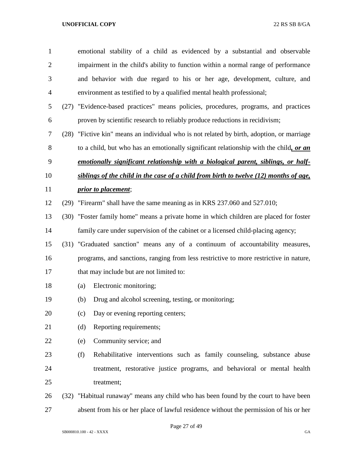| 1              |      | emotional stability of a child as evidenced by a substantial and observable               |
|----------------|------|-------------------------------------------------------------------------------------------|
| $\overline{2}$ |      | impairment in the child's ability to function within a normal range of performance        |
| 3              |      | and behavior with due regard to his or her age, development, culture, and                 |
| $\overline{4}$ |      | environment as testified to by a qualified mental health professional;                    |
| 5              | (27) | "Evidence-based practices" means policies, procedures, programs, and practices            |
| 6              |      | proven by scientific research to reliably produce reductions in recidivism;               |
| 7              |      | (28) "Fictive kin" means an individual who is not related by birth, adoption, or marriage |
| 8              |      | to a child, but who has an emotionally significant relationship with the child, or an     |
| 9              |      | emotionally significant relationship with a biological parent, siblings, or half-         |
| 10             |      | siblings of the child in the case of a child from birth to twelve (12) months of age,     |
| 11             |      | <i>prior to placement;</i>                                                                |
| 12             | (29) | "Firearm" shall have the same meaning as in KRS 237.060 and 527.010;                      |
| 13             | (30) | "Foster family home" means a private home in which children are placed for foster         |
| 14             |      | family care under supervision of the cabinet or a licensed child-placing agency;          |
| 15             |      | (31) "Graduated sanction" means any of a continuum of accountability measures,            |
| 16             |      | programs, and sanctions, ranging from less restrictive to more restrictive in nature,     |
| 17             |      | that may include but are not limited to:                                                  |
| 18             |      | Electronic monitoring;<br>(a)                                                             |
| 19             |      | Drug and alcohol screening, testing, or monitoring;<br>(b)                                |
| 20             |      | Day or evening reporting centers;<br>(c)                                                  |
| 21             |      | Reporting requirements;<br>(d)                                                            |
| 22             |      | Community service; and<br>(e)                                                             |
| 23             |      | (f)<br>Rehabilitative interventions such as family counseling, substance abuse            |
| 24             |      | treatment, restorative justice programs, and behavioral or mental health                  |
| 25             |      | treatment;                                                                                |
| 26             |      | (32) "Habitual runaway" means any child who has been found by the court to have been      |
| 27             |      | absent from his or her place of lawful residence without the permission of his or her     |

Page 27 of 49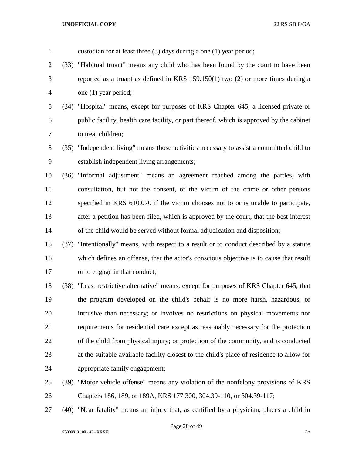| $\mathbf{1}$   |      | custodian for at least three $(3)$ days during a one $(1)$ year period;                   |
|----------------|------|-------------------------------------------------------------------------------------------|
| $\overline{2}$ |      | (33) "Habitual truant" means any child who has been found by the court to have been       |
| 3              |      | reported as a truant as defined in KRS $159.150(1)$ two $(2)$ or more times during a      |
| $\overline{4}$ |      | one (1) year period;                                                                      |
| 5              |      | (34) "Hospital" means, except for purposes of KRS Chapter 645, a licensed private or      |
| 6              |      | public facility, health care facility, or part thereof, which is approved by the cabinet  |
| 7              |      | to treat children;                                                                        |
| 8              |      | (35) "Independent living" means those activities necessary to assist a committed child to |
| 9              |      | establish independent living arrangements;                                                |
| 10             | (36) | "Informal adjustment" means an agreement reached among the parties, with                  |
| 11             |      | consultation, but not the consent, of the victim of the crime or other persons            |
| 12             |      | specified in KRS 610.070 if the victim chooses not to or is unable to participate,        |
| 13             |      | after a petition has been filed, which is approved by the court, that the best interest   |
| 14             |      | of the child would be served without formal adjudication and disposition;                 |
| 15             | (37) | "Intentionally" means, with respect to a result or to conduct described by a statute      |
| 16             |      | which defines an offense, that the actor's conscious objective is to cause that result    |
| 17             |      | or to engage in that conduct;                                                             |
| 18             |      | (38) "Least restrictive alternative" means, except for purposes of KRS Chapter 645, that  |
| 19             |      | the program developed on the child's behalf is no more harsh, hazardous, or               |
| 20             |      | intrusive than necessary; or involves no restrictions on physical movements nor           |
| 21             |      | requirements for residential care except as reasonably necessary for the protection       |
| 22             |      | of the child from physical injury; or protection of the community, and is conducted       |
| 23             |      | at the suitable available facility closest to the child's place of residence to allow for |
| 24             |      | appropriate family engagement;                                                            |
| 25             |      | (39) "Motor vehicle offense" means any violation of the nonfelony provisions of KRS       |

Chapters 186, 189, or 189A, KRS 177.300, 304.39-110, or 304.39-117;

(40) "Near fatality" means an injury that, as certified by a physician, places a child in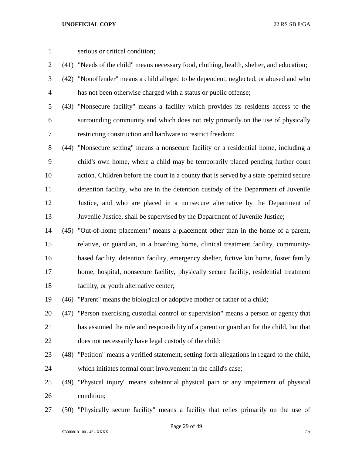- serious or critical condition;
- (41) "Needs of the child" means necessary food, clothing, health, shelter, and education;
- (42) "Nonoffender" means a child alleged to be dependent, neglected, or abused and who has not been otherwise charged with a status or public offense;
- (43) "Nonsecure facility" means a facility which provides its residents access to the surrounding community and which does not rely primarily on the use of physically restricting construction and hardware to restrict freedom;
- (44) "Nonsecure setting" means a nonsecure facility or a residential home, including a child's own home, where a child may be temporarily placed pending further court action. Children before the court in a county that is served by a state operated secure detention facility, who are in the detention custody of the Department of Juvenile Justice, and who are placed in a nonsecure alternative by the Department of Juvenile Justice, shall be supervised by the Department of Juvenile Justice;
- (45) "Out-of-home placement" means a placement other than in the home of a parent, relative, or guardian, in a boarding home, clinical treatment facility, community- based facility, detention facility, emergency shelter, fictive kin home, foster family home, hospital, nonsecure facility, physically secure facility, residential treatment facility, or youth alternative center;

(46) "Parent" means the biological or adoptive mother or father of a child;

- (47) "Person exercising custodial control or supervision" means a person or agency that has assumed the role and responsibility of a parent or guardian for the child, but that does not necessarily have legal custody of the child;
- (48) "Petition" means a verified statement, setting forth allegations in regard to the child, which initiates formal court involvement in the child's case;
- (49) "Physical injury" means substantial physical pain or any impairment of physical condition;
- (50) "Physically secure facility" means a facility that relies primarily on the use of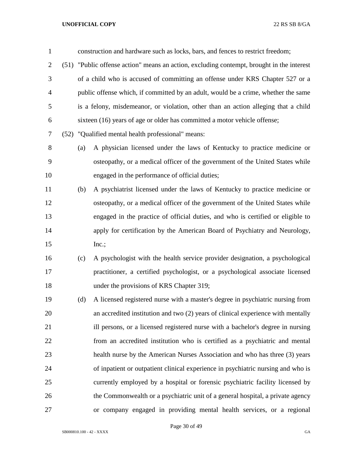| $\mathbf{1}$   |     | construction and hardware such as locks, bars, and fences to restrict freedom;            |
|----------------|-----|-------------------------------------------------------------------------------------------|
| $\overline{2}$ |     | (51) "Public offense action" means an action, excluding contempt, brought in the interest |
| 3              |     | of a child who is accused of committing an offense under KRS Chapter 527 or a             |
| $\overline{4}$ |     | public offense which, if committed by an adult, would be a crime, whether the same        |
| 5              |     | is a felony, misdemeanor, or violation, other than an action alleging that a child        |
| 6              |     | sixteen (16) years of age or older has committed a motor vehicle offense;                 |
| 7              |     | (52) "Qualified mental health professional" means:                                        |
| 8              | (a) | A physician licensed under the laws of Kentucky to practice medicine or                   |
| 9              |     | osteopathy, or a medical officer of the government of the United States while             |
| 10             |     | engaged in the performance of official duties;                                            |
| 11             | (b) | A psychiatrist licensed under the laws of Kentucky to practice medicine or                |
| 12             |     | osteopathy, or a medical officer of the government of the United States while             |
| 13             |     | engaged in the practice of official duties, and who is certified or eligible to           |
| 14             |     | apply for certification by the American Board of Psychiatry and Neurology,                |
| 15             |     | Inc.;                                                                                     |
| 16             | (c) | A psychologist with the health service provider designation, a psychological              |
| 17             |     | practitioner, a certified psychologist, or a psychological associate licensed             |
| 18             |     | under the provisions of KRS Chapter 319;                                                  |
| 19             | (d) | A licensed registered nurse with a master's degree in psychiatric nursing from            |
| 20             |     | an accredited institution and two (2) years of clinical experience with mentally          |
| 21             |     | ill persons, or a licensed registered nurse with a bachelor's degree in nursing           |
| 22             |     | from an accredited institution who is certified as a psychiatric and mental               |
| 23             |     | health nurse by the American Nurses Association and who has three (3) years               |
| 24             |     | of inpatient or outpatient clinical experience in psychiatric nursing and who is          |
| 25             |     | currently employed by a hospital or forensic psychiatric facility licensed by             |
| 26             |     | the Commonwealth or a psychiatric unit of a general hospital, a private agency            |
| 27             |     | or company engaged in providing mental health services, or a regional                     |

Page 30 of 49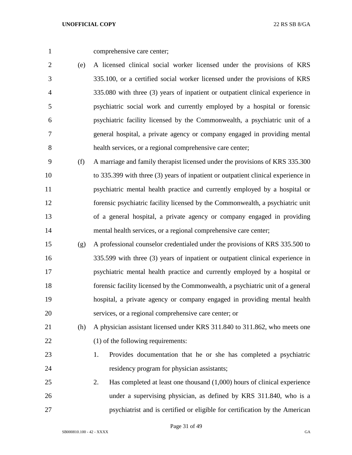comprehensive care center;

 (e) A licensed clinical social worker licensed under the provisions of KRS 335.100, or a certified social worker licensed under the provisions of KRS 335.080 with three (3) years of inpatient or outpatient clinical experience in psychiatric social work and currently employed by a hospital or forensic psychiatric facility licensed by the Commonwealth, a psychiatric unit of a general hospital, a private agency or company engaged in providing mental health services, or a regional comprehensive care center;

 (f) A marriage and family therapist licensed under the provisions of KRS 335.300 to 335.399 with three (3) years of inpatient or outpatient clinical experience in psychiatric mental health practice and currently employed by a hospital or forensic psychiatric facility licensed by the Commonwealth, a psychiatric unit of a general hospital, a private agency or company engaged in providing mental health services, or a regional comprehensive care center;

 (g) A professional counselor credentialed under the provisions of KRS 335.500 to 335.599 with three (3) years of inpatient or outpatient clinical experience in psychiatric mental health practice and currently employed by a hospital or forensic facility licensed by the Commonwealth, a psychiatric unit of a general hospital, a private agency or company engaged in providing mental health services, or a regional comprehensive care center; or

 (h) A physician assistant licensed under KRS 311.840 to 311.862, who meets one 22 (1) of the following requirements:

- 1. Provides documentation that he or she has completed a psychiatric residency program for physician assistants;
- 2. Has completed at least one thousand (1,000) hours of clinical experience under a supervising physician, as defined by KRS 311.840, who is a psychiatrist and is certified or eligible for certification by the American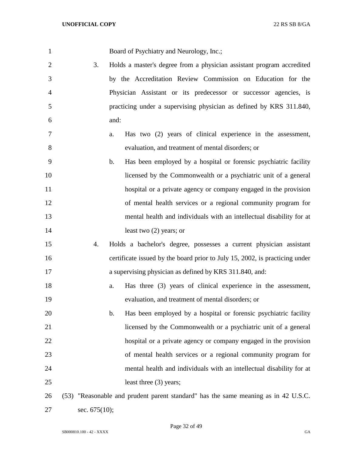| 1              |               | Board of Psychiatry and Neurology, Inc.;                                           |
|----------------|---------------|------------------------------------------------------------------------------------|
| $\overline{2}$ | 3.            | Holds a master's degree from a physician assistant program accredited              |
| 3              |               | by the Accreditation Review Commission on Education for the                        |
| 4              |               | Physician Assistant or its predecessor or successor agencies, is                   |
| 5              |               | practicing under a supervising physician as defined by KRS 311.840,                |
| 6              |               | and:                                                                               |
| 7              |               | Has two (2) years of clinical experience in the assessment,<br>a.                  |
| 8              |               | evaluation, and treatment of mental disorders; or                                  |
| 9              |               | Has been employed by a hospital or forensic psychiatric facility<br>b.             |
| 10             |               | licensed by the Commonwealth or a psychiatric unit of a general                    |
| 11             |               | hospital or a private agency or company engaged in the provision                   |
| 12             |               | of mental health services or a regional community program for                      |
| 13             |               | mental health and individuals with an intellectual disability for at               |
| 14             |               | least two $(2)$ years; or                                                          |
| 15             | 4.            | Holds a bachelor's degree, possesses a current physician assistant                 |
| 16             |               | certificate issued by the board prior to July 15, 2002, is practicing under        |
| 17             |               | a supervising physician as defined by KRS 311.840, and:                            |
| 18             |               | Has three (3) years of clinical experience in the assessment,<br>a.                |
| 19             |               | evaluation, and treatment of mental disorders; or                                  |
| 20             |               | Has been employed by a hospital or forensic psychiatric facility<br>$\mathbf{b}$ . |
| 21             |               | licensed by the Commonwealth or a psychiatric unit of a general                    |
| 22             |               | hospital or a private agency or company engaged in the provision                   |
| 23             |               | of mental health services or a regional community program for                      |
| 24             |               | mental health and individuals with an intellectual disability for at               |
| 25             |               | least three (3) years;                                                             |
| 26             |               | (53) "Reasonable and prudent parent standard" has the same meaning as in 42 U.S.C. |
| 27             | sec. 675(10); |                                                                                    |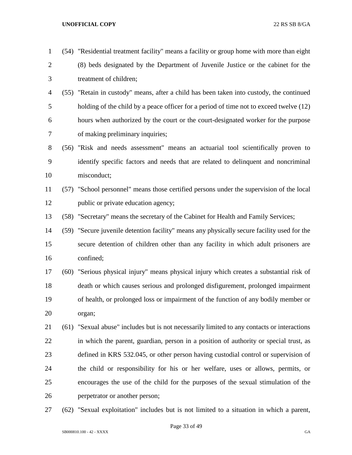(54) "Residential treatment facility" means a facility or group home with more than eight

 (8) beds designated by the Department of Juvenile Justice or the cabinet for the treatment of children;

- (55) "Retain in custody" means, after a child has been taken into custody, the continued holding of the child by a peace officer for a period of time not to exceed twelve (12) hours when authorized by the court or the court-designated worker for the purpose of making preliminary inquiries;
- (56) "Risk and needs assessment" means an actuarial tool scientifically proven to identify specific factors and needs that are related to delinquent and noncriminal misconduct;
- (57) "School personnel" means those certified persons under the supervision of the local 12 public or private education agency;

(58) "Secretary" means the secretary of the Cabinet for Health and Family Services;

- (59) "Secure juvenile detention facility" means any physically secure facility used for the secure detention of children other than any facility in which adult prisoners are confined;
- (60) "Serious physical injury" means physical injury which creates a substantial risk of death or which causes serious and prolonged disfigurement, prolonged impairment of health, or prolonged loss or impairment of the function of any bodily member or organ;
- (61) "Sexual abuse" includes but is not necessarily limited to any contacts or interactions in which the parent, guardian, person in a position of authority or special trust, as defined in KRS 532.045, or other person having custodial control or supervision of the child or responsibility for his or her welfare, uses or allows, permits, or encourages the use of the child for the purposes of the sexual stimulation of the perpetrator or another person;
- (62) "Sexual exploitation" includes but is not limited to a situation in which a parent,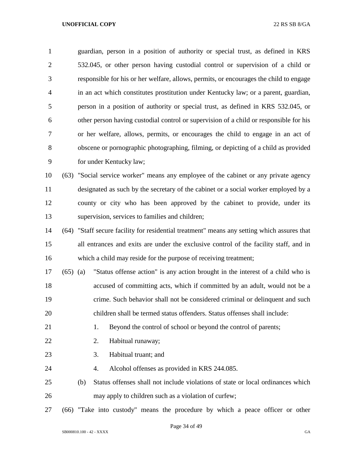guardian, person in a position of authority or special trust, as defined in KRS 532.045, or other person having custodial control or supervision of a child or responsible for his or her welfare, allows, permits, or encourages the child to engage in an act which constitutes prostitution under Kentucky law; or a parent, guardian, person in a position of authority or special trust, as defined in KRS 532.045, or other person having custodial control or supervision of a child or responsible for his or her welfare, allows, permits, or encourages the child to engage in an act of obscene or pornographic photographing, filming, or depicting of a child as provided for under Kentucky law;

 (63) "Social service worker" means any employee of the cabinet or any private agency designated as such by the secretary of the cabinet or a social worker employed by a county or city who has been approved by the cabinet to provide, under its supervision, services to families and children;

 (64) "Staff secure facility for residential treatment" means any setting which assures that all entrances and exits are under the exclusive control of the facility staff, and in which a child may reside for the purpose of receiving treatment;

 (65) (a) "Status offense action" is any action brought in the interest of a child who is accused of committing acts, which if committed by an adult, would not be a crime. Such behavior shall not be considered criminal or delinquent and such children shall be termed status offenders. Status offenses shall include:

- 21 1. Beyond the control of school or beyond the control of parents;
- 2. Habitual runaway;
- 23 3. Habitual truant: and
- 4. Alcohol offenses as provided in KRS 244.085.
- (b) Status offenses shall not include violations of state or local ordinances which may apply to children such as a violation of curfew;
- (66) "Take into custody" means the procedure by which a peace officer or other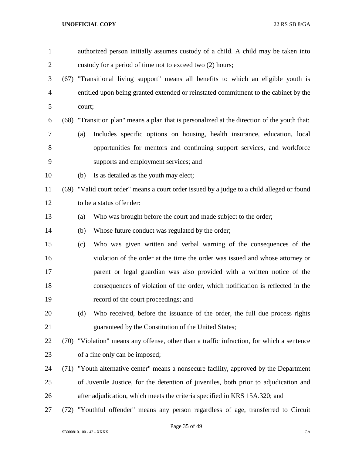| $\mathbf{1}$   |        | authorized person initially assumes custody of a child. A child may be taken into            |
|----------------|--------|----------------------------------------------------------------------------------------------|
| $\overline{c}$ |        | custody for a period of time not to exceed two (2) hours;                                    |
| 3              |        | (67) "Transitional living support" means all benefits to which an eligible youth is          |
| $\overline{4}$ |        | entitled upon being granted extended or reinstated commitment to the cabinet by the          |
| 5              | court; |                                                                                              |
| 6              |        | (68) "Transition plan" means a plan that is personalized at the direction of the youth that: |
| 7              | (a)    | Includes specific options on housing, health insurance, education, local                     |
| 8              |        | opportunities for mentors and continuing support services, and workforce                     |
| 9              |        | supports and employment services; and                                                        |
| 10             | (b)    | Is as detailed as the youth may elect;                                                       |
| 11             |        | (69) "Valid court order" means a court order issued by a judge to a child alleged or found   |
| 12             |        | to be a status offender:                                                                     |
| 13             | (a)    | Who was brought before the court and made subject to the order;                              |
| 14             | (b)    | Whose future conduct was regulated by the order;                                             |
| 15             | (c)    | Who was given written and verbal warning of the consequences of the                          |
| 16             |        | violation of the order at the time the order was issued and whose attorney or                |
| 17             |        | parent or legal guardian was also provided with a written notice of the                      |
| 18             |        | consequences of violation of the order, which notification is reflected in the               |
| 19             |        | record of the court proceedings; and                                                         |
| 20             | (d)    | Who received, before the issuance of the order, the full due process rights                  |
| 21             |        | guaranteed by the Constitution of the United States;                                         |
| 22             |        | (70) "Violation" means any offense, other than a traffic infraction, for which a sentence    |
| 23             |        | of a fine only can be imposed;                                                               |
| 24             |        | (71) "Youth alternative center" means a nonsecure facility, approved by the Department       |
| 25             |        | of Juvenile Justice, for the detention of juveniles, both prior to adjudication and          |
| 26             |        | after adjudication, which meets the criteria specified in KRS 15A.320; and                   |
| 27             |        | (72) "Youthful offender" means any person regardless of age, transferred to Circuit          |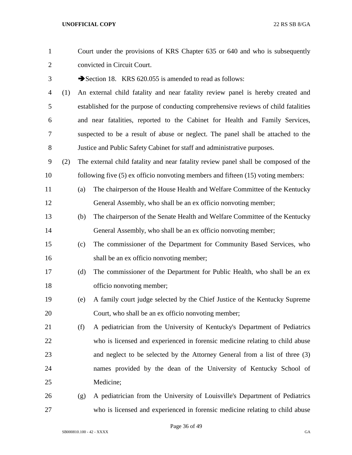| $\mathbf{1}$   |     |     | Court under the provisions of KRS Chapter 635 or 640 and who is subsequently         |
|----------------|-----|-----|--------------------------------------------------------------------------------------|
| $\overline{2}$ |     |     | convicted in Circuit Court.                                                          |
| 3              |     |     | Section 18. KRS 620.055 is amended to read as follows:                               |
| $\overline{4}$ | (1) |     | An external child fatality and near fatality review panel is hereby created and      |
| 5              |     |     | established for the purpose of conducting comprehensive reviews of child fatalities  |
| 6              |     |     | and near fatalities, reported to the Cabinet for Health and Family Services,         |
| $\tau$         |     |     | suspected to be a result of abuse or neglect. The panel shall be attached to the     |
| 8              |     |     | Justice and Public Safety Cabinet for staff and administrative purposes.             |
| 9              | (2) |     | The external child fatality and near fatality review panel shall be composed of the  |
| 10             |     |     | following five $(5)$ ex officio nonvoting members and fifteen $(15)$ voting members: |
| 11             |     | (a) | The chairperson of the House Health and Welfare Committee of the Kentucky            |
| 12             |     |     | General Assembly, who shall be an ex officio nonvoting member;                       |
| 13             |     | (b) | The chairperson of the Senate Health and Welfare Committee of the Kentucky           |
| 14             |     |     | General Assembly, who shall be an ex officio nonvoting member;                       |
| 15             |     | (c) | The commissioner of the Department for Community Based Services, who                 |
| 16             |     |     | shall be an ex officio nonvoting member;                                             |
| 17             |     | (d) | The commissioner of the Department for Public Health, who shall be an ex             |
| 18             |     |     | officio nonvoting member;                                                            |
| 19             |     | (e) | A family court judge selected by the Chief Justice of the Kentucky Supreme           |
| 20             |     |     | Court, who shall be an ex officio nonvoting member;                                  |
| 21             |     | (f) | A pediatrician from the University of Kentucky's Department of Pediatrics            |
| 22             |     |     | who is licensed and experienced in forensic medicine relating to child abuse         |
| 23             |     |     | and neglect to be selected by the Attorney General from a list of three (3)          |
| 24             |     |     | names provided by the dean of the University of Kentucky School of                   |
| 25             |     |     | Medicine;                                                                            |
| 26             |     | (g) | A pediatrician from the University of Louisville's Department of Pediatrics          |
| 27             |     |     | who is licensed and experienced in forensic medicine relating to child abuse         |

Page 36 of 49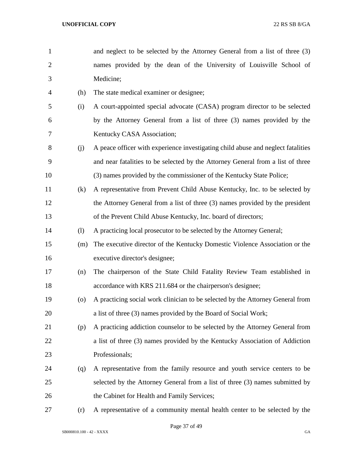and neglect to be selected by the Attorney General from a list of three (3) names provided by the dean of the University of Louisville School of Medicine; (h) The state medical examiner or designee; (i) A court-appointed special advocate (CASA) program director to be selected by the Attorney General from a list of three (3) names provided by the Kentucky CASA Association; (j) A peace officer with experience investigating child abuse and neglect fatalities and near fatalities to be selected by the Attorney General from a list of three (3) names provided by the commissioner of the Kentucky State Police; (k) A representative from Prevent Child Abuse Kentucky, Inc. to be selected by the Attorney General from a list of three (3) names provided by the president of the Prevent Child Abuse Kentucky, Inc. board of directors; (l) A practicing local prosecutor to be selected by the Attorney General; (m) The executive director of the Kentucky Domestic Violence Association or the executive director's designee; (n) The chairperson of the State Child Fatality Review Team established in **accordance with KRS** 211.684 or the chairperson's designee; (o) A practicing social work clinician to be selected by the Attorney General from a list of three (3) names provided by the Board of Social Work; (p) A practicing addiction counselor to be selected by the Attorney General from a list of three (3) names provided by the Kentucky Association of Addiction Professionals; (q) A representative from the family resource and youth service centers to be selected by the Attorney General from a list of three (3) names submitted by 26 the Cabinet for Health and Family Services; (r) A representative of a community mental health center to be selected by the

Page 37 of 49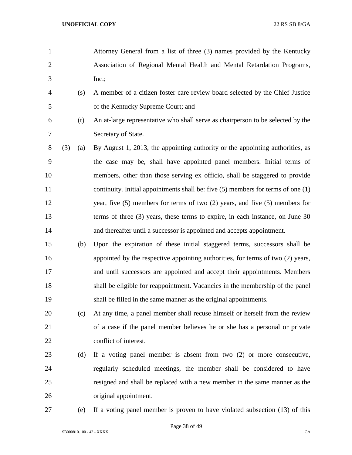- Attorney General from a list of three (3) names provided by the Kentucky Association of Regional Mental Health and Mental Retardation Programs, Inc.;
- (s) A member of a citizen foster care review board selected by the Chief Justice of the Kentucky Supreme Court; and
- 
- (t) An at-large representative who shall serve as chairperson to be selected by the Secretary of State.
- (3) (a) By August 1, 2013, the appointing authority or the appointing authorities, as the case may be, shall have appointed panel members. Initial terms of members, other than those serving ex officio, shall be staggered to provide continuity. Initial appointments shall be: five (5) members for terms of one (1) year, five (5) members for terms of two (2) years, and five (5) members for terms of three (3) years, these terms to expire, in each instance, on June 30 14 and thereafter until a successor is appointed and accepts appointment.
- (b) Upon the expiration of these initial staggered terms, successors shall be appointed by the respective appointing authorities, for terms of two (2) years, and until successors are appointed and accept their appointments. Members shall be eligible for reappointment. Vacancies in the membership of the panel shall be filled in the same manner as the original appointments.
- (c) At any time, a panel member shall recuse himself or herself from the review of a case if the panel member believes he or she has a personal or private conflict of interest.
- (d) If a voting panel member is absent from two (2) or more consecutive, regularly scheduled meetings, the member shall be considered to have resigned and shall be replaced with a new member in the same manner as the original appointment.
- 

(e) If a voting panel member is proven to have violated subsection (13) of this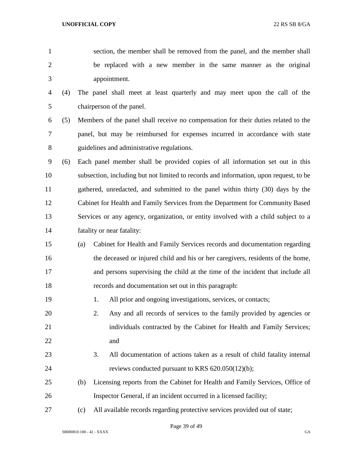section, the member shall be removed from the panel, and the member shall be replaced with a new member in the same manner as the original appointment. (4) The panel shall meet at least quarterly and may meet upon the call of the chairperson of the panel. (5) Members of the panel shall receive no compensation for their duties related to the panel, but may be reimbursed for expenses incurred in accordance with state guidelines and administrative regulations. (6) Each panel member shall be provided copies of all information set out in this subsection, including but not limited to records and information, upon request, to be gathered, unredacted, and submitted to the panel within thirty (30) days by the Cabinet for Health and Family Services from the Department for Community Based Services or any agency, organization, or entity involved with a child subject to a fatality or near fatality: (a) Cabinet for Health and Family Services records and documentation regarding the deceased or injured child and his or her caregivers, residents of the home, and persons supervising the child at the time of the incident that include all records and documentation set out in this paragraph: 1. All prior and ongoing investigations, services, or contacts; 2. Any and all records of services to the family provided by agencies or individuals contracted by the Cabinet for Health and Family Services; and 3. All documentation of actions taken as a result of child fatality internal reviews conducted pursuant to KRS 620.050(12)(b); (b) Licensing reports from the Cabinet for Health and Family Services, Office of Inspector General, if an incident occurred in a licensed facility; (c) All available records regarding protective services provided out of state;

Page 39 of 49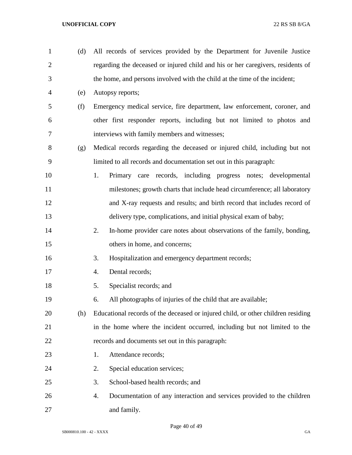| $\mathbf{1}$   | (d) | All records of services provided by the Department for Juvenile Justice          |
|----------------|-----|----------------------------------------------------------------------------------|
| $\overline{2}$ |     | regarding the deceased or injured child and his or her caregivers, residents of  |
| 3              |     | the home, and persons involved with the child at the time of the incident;       |
| $\overline{4}$ | (e) | Autopsy reports;                                                                 |
| 5              | (f) | Emergency medical service, fire department, law enforcement, coroner, and        |
| 6              |     | other first responder reports, including but not limited to photos and           |
| 7              |     | interviews with family members and witnesses;                                    |
| 8              | (g) | Medical records regarding the deceased or injured child, including but not       |
| 9              |     | limited to all records and documentation set out in this paragraph:              |
| 10             |     | 1.<br>Primary care records, including progress notes; developmental              |
| 11             |     | milestones; growth charts that include head circumference; all laboratory        |
| 12             |     | and X-ray requests and results; and birth record that includes record of         |
| 13             |     | delivery type, complications, and initial physical exam of baby;                 |
| 14             |     | 2.<br>In-home provider care notes about observations of the family, bonding,     |
| 15             |     | others in home, and concerns;                                                    |
| 16             |     | Hospitalization and emergency department records;<br>3.                          |
| 17             |     | Dental records;<br>4.                                                            |
| 18             |     | Specialist records; and<br>5.                                                    |
| 19             |     | All photographs of injuries of the child that are available;<br>6.               |
| 20             | (h) | Educational records of the deceased or injured child, or other children residing |
| 21             |     | in the home where the incident occurred, including but not limited to the        |
| 22             |     | records and documents set out in this paragraph:                                 |
| 23             |     | Attendance records;<br>1.                                                        |
| 24             |     | Special education services;<br>2.                                                |
| 25             |     | 3.<br>School-based health records; and                                           |
| 26             |     | Documentation of any interaction and services provided to the children<br>4.     |
| 27             |     | and family.                                                                      |

Page 40 of 49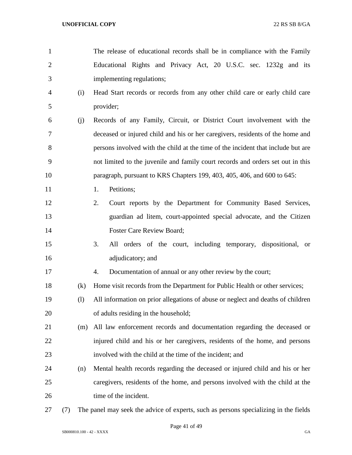| $\overline{2}$ |     | Educational Rights and Privacy Act, 20 U.S.C. sec. 1232g and its                 |
|----------------|-----|----------------------------------------------------------------------------------|
| 3              |     | implementing regulations;                                                        |
| $\overline{4}$ | (i) | Head Start records or records from any other child care or early child care      |
| 5              |     | provider;                                                                        |
| 6              | (j) | Records of any Family, Circuit, or District Court involvement with the           |
| 7              |     | deceased or injured child and his or her caregivers, residents of the home and   |
| $8\phantom{1}$ |     | persons involved with the child at the time of the incident that include but are |
| 9              |     | not limited to the juvenile and family court records and orders set out in this  |
| 10             |     | paragraph, pursuant to KRS Chapters 199, 403, 405, 406, and 600 to 645:          |
| 11             |     | Petitions;<br>1.                                                                 |
| 12             |     | Court reports by the Department for Community Based Services,<br>2.              |
| 13             |     | guardian ad litem, court-appointed special advocate, and the Citizen             |
| 14             |     | Foster Care Review Board;                                                        |
| 15             |     | All orders of the court, including temporary, dispositional,<br>3.<br><b>or</b>  |
| 16             |     | adjudicatory; and                                                                |
| 17             |     | Documentation of annual or any other review by the court;<br>4.                  |
| 18             | (k) | Home visit records from the Department for Public Health or other services;      |
| 19             | (1) | All information on prior allegations of abuse or neglect and deaths of children  |
| 20             |     | of adults residing in the household;                                             |
| 21             | (m) | All law enforcement records and documentation regarding the deceased or          |
| 22             |     | injured child and his or her caregivers, residents of the home, and persons      |
| 23             |     | involved with the child at the time of the incident; and                         |
| 24             | (n) | Mental health records regarding the deceased or injured child and his or her     |
| 25             |     | caregivers, residents of the home, and persons involved with the child at the    |
| 26             |     | time of the incident.                                                            |
|                |     |                                                                                  |

The release of educational records shall be in compliance with the Family

(7) The panel may seek the advice of experts, such as persons specializing in the fields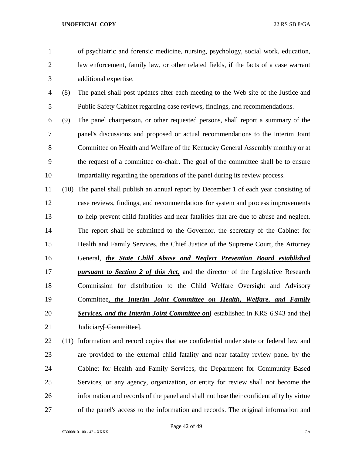of psychiatric and forensic medicine, nursing, psychology, social work, education, law enforcement, family law, or other related fields, if the facts of a case warrant additional expertise.

 (8) The panel shall post updates after each meeting to the Web site of the Justice and Public Safety Cabinet regarding case reviews, findings, and recommendations.

 (9) The panel chairperson, or other requested persons, shall report a summary of the panel's discussions and proposed or actual recommendations to the Interim Joint Committee on Health and Welfare of the Kentucky General Assembly monthly or at the request of a committee co-chair. The goal of the committee shall be to ensure impartiality regarding the operations of the panel during its review process.

 (10) The panel shall publish an annual report by December 1 of each year consisting of case reviews, findings, and recommendations for system and process improvements to help prevent child fatalities and near fatalities that are due to abuse and neglect. The report shall be submitted to the Governor, the secretary of the Cabinet for Health and Family Services, the Chief Justice of the Supreme Court, the Attorney General, *the State Child Abuse and Neglect Prevention Board established pursuant to Section 2 of this Act,* and the director of the Legislative Research Commission for distribution to the Child Welfare Oversight and Advisory Committee*, the Interim Joint Committee on Health, Welfare, and Family*  **Services, and the Interim Joint Committee on** Festablished in KRS 6.943 and the l 21 Judiciary<del>[ Committee]</del>.

 (11) Information and record copies that are confidential under state or federal law and are provided to the external child fatality and near fatality review panel by the Cabinet for Health and Family Services, the Department for Community Based Services, or any agency, organization, or entity for review shall not become the information and records of the panel and shall not lose their confidentiality by virtue of the panel's access to the information and records. The original information and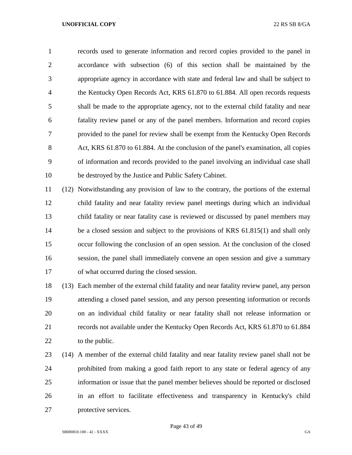records used to generate information and record copies provided to the panel in accordance with subsection (6) of this section shall be maintained by the appropriate agency in accordance with state and federal law and shall be subject to the Kentucky Open Records Act, KRS 61.870 to 61.884. All open records requests shall be made to the appropriate agency, not to the external child fatality and near fatality review panel or any of the panel members. Information and record copies provided to the panel for review shall be exempt from the Kentucky Open Records 8 Act, KRS 61.870 to 61.884. At the conclusion of the panel's examination, all copies of information and records provided to the panel involving an individual case shall be destroyed by the Justice and Public Safety Cabinet.

 (12) Notwithstanding any provision of law to the contrary, the portions of the external child fatality and near fatality review panel meetings during which an individual child fatality or near fatality case is reviewed or discussed by panel members may 14 be a closed session and subject to the provisions of KRS 61.815(1) and shall only occur following the conclusion of an open session. At the conclusion of the closed session, the panel shall immediately convene an open session and give a summary of what occurred during the closed session.

 (13) Each member of the external child fatality and near fatality review panel, any person attending a closed panel session, and any person presenting information or records on an individual child fatality or near fatality shall not release information or records not available under the Kentucky Open Records Act, KRS 61.870 to 61.884 22 to the public.

 (14) A member of the external child fatality and near fatality review panel shall not be prohibited from making a good faith report to any state or federal agency of any information or issue that the panel member believes should be reported or disclosed in an effort to facilitate effectiveness and transparency in Kentucky's child protective services.

Page 43 of 49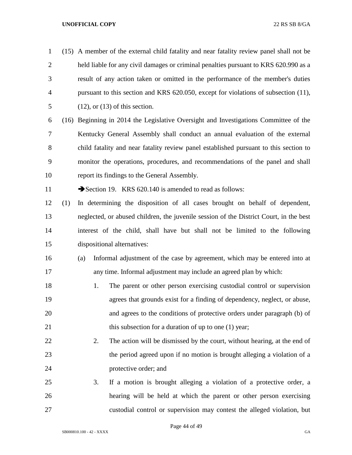(15) A member of the external child fatality and near fatality review panel shall not be held liable for any civil damages or criminal penalties pursuant to KRS 620.990 as a result of any action taken or omitted in the performance of the member's duties pursuant to this section and KRS 620.050, except for violations of subsection (11), (12), or (13) of this section.

 (16) Beginning in 2014 the Legislative Oversight and Investigations Committee of the Kentucky General Assembly shall conduct an annual evaluation of the external child fatality and near fatality review panel established pursuant to this section to monitor the operations, procedures, and recommendations of the panel and shall report its findings to the General Assembly.

11 Section 19. KRS 620.140 is amended to read as follows:

 (1) In determining the disposition of all cases brought on behalf of dependent, neglected, or abused children, the juvenile session of the District Court, in the best interest of the child, shall have but shall not be limited to the following dispositional alternatives:

- (a) Informal adjustment of the case by agreement, which may be entered into at any time. Informal adjustment may include an agreed plan by which:
- 1. The parent or other person exercising custodial control or supervision agrees that grounds exist for a finding of dependency, neglect, or abuse, and agrees to the conditions of protective orders under paragraph (b) of 21 this subsection for a duration of up to one (1) year;
- 22 2. The action will be dismissed by the court, without hearing, at the end of the period agreed upon if no motion is brought alleging a violation of a protective order; and
- 3. If a motion is brought alleging a violation of a protective order, a hearing will be held at which the parent or other person exercising custodial control or supervision may contest the alleged violation, but

Page 44 of 49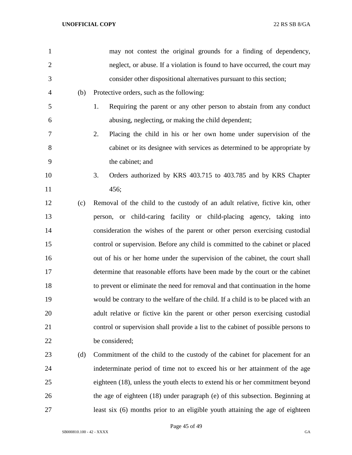| $\mathbf{1}$   |     | may not contest the original grounds for a finding of dependency,                 |
|----------------|-----|-----------------------------------------------------------------------------------|
| $\overline{2}$ |     | neglect, or abuse. If a violation is found to have occurred, the court may        |
| 3              |     | consider other dispositional alternatives pursuant to this section;               |
| 4              | (b) | Protective orders, such as the following:                                         |
| 5              |     | 1.<br>Requiring the parent or any other person to abstain from any conduct        |
| 6              |     | abusing, neglecting, or making the child dependent;                               |
| 7              |     | 2.<br>Placing the child in his or her own home under supervision of the           |
| 8              |     | cabinet or its designee with services as determined to be appropriate by          |
| 9              |     | the cabinet; and                                                                  |
| 10             |     | 3.<br>Orders authorized by KRS 403.715 to 403.785 and by KRS Chapter              |
| 11             |     | 456;                                                                              |
| 12             | (c) | Removal of the child to the custody of an adult relative, fictive kin, other      |
| 13             |     | person, or child-caring facility or child-placing agency, taking into             |
| 14             |     | consideration the wishes of the parent or other person exercising custodial       |
| 15             |     | control or supervision. Before any child is committed to the cabinet or placed    |
| 16             |     | out of his or her home under the supervision of the cabinet, the court shall      |
| 17             |     | determine that reasonable efforts have been made by the court or the cabinet      |
| 18             |     | to prevent or eliminate the need for removal and that continuation in the home    |
| 19             |     | would be contrary to the welfare of the child. If a child is to be placed with an |
| 20             |     | adult relative or fictive kin the parent or other person exercising custodial     |
| 21             |     | control or supervision shall provide a list to the cabinet of possible persons to |
| 22             |     | be considered;                                                                    |
| 23             | (d) | Commitment of the child to the custody of the cabinet for placement for an        |
| 24             |     | indeterminate period of time not to exceed his or her attainment of the age       |
| 25             |     | eighteen (18), unless the youth elects to extend his or her commitment beyond     |
| 26             |     | the age of eighteen (18) under paragraph (e) of this subsection. Beginning at     |
| 27             |     | least six (6) months prior to an eligible youth attaining the age of eighteen     |
|                |     |                                                                                   |

Page 45 of 49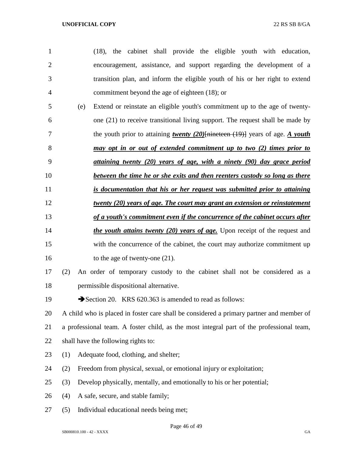| $\mathbf{1}$   |     | (18), the cabinet shall provide the eligible youth with education,                       |
|----------------|-----|------------------------------------------------------------------------------------------|
| $\overline{c}$ |     | encouragement, assistance, and support regarding the development of a                    |
| 3              |     | transition plan, and inform the eligible youth of his or her right to extend             |
| $\overline{4}$ |     | commitment beyond the age of eighteen (18); or                                           |
| 5              | (e) | Extend or reinstate an eligible youth's commitment up to the age of twenty-              |
| 6              |     | one (21) to receive transitional living support. The request shall be made by            |
| 7              |     | the youth prior to attaining twenty $(20)$ [nineteen $(19)$ ] years of age. A youth      |
| $8\,$          |     | may opt in or out of extended commitment up to two (2) times prior to                    |
| 9              |     | attaining twenty $(20)$ years of age, with a ninety $(90)$ day grace period              |
| 10             |     | between the time he or she exits and then reenters custody so long as there              |
| 11             |     | is documentation that his or her request was submitted prior to attaining                |
| 12             |     | <u>twenty (20) years of age. The court may grant an extension or reinstatement</u>       |
| 13             |     | of a youth's commitment even if the concurrence of the cabinet occurs after              |
| 14             |     | <i>the youth attains twenty (20) years of age</i> . Upon receipt of the request and      |
| 15             |     | with the concurrence of the cabinet, the court may authorize commitment up               |
| 16             |     | to the age of twenty-one $(21)$ .                                                        |
| 17             | (2) | An order of temporary custody to the cabinet shall not be considered as a                |
| 18             |     | permissible dispositional alternative.                                                   |
| 19             |     | Section 20. KRS 620.363 is amended to read as follows:                                   |
| 20             |     | A child who is placed in foster care shall be considered a primary partner and member of |
| 21             |     | a professional team. A foster child, as the most integral part of the professional team, |
| 22             |     | shall have the following rights to:                                                      |
| 23             | (1) | Adequate food, clothing, and shelter;                                                    |
| 24             | (2) | Freedom from physical, sexual, or emotional injury or exploitation;                      |
| 25             | (3) | Develop physically, mentally, and emotionally to his or her potential;                   |
| 26             | (4) | A safe, secure, and stable family;                                                       |
| 27             | (5) | Individual educational needs being met;                                                  |

Page 46 of 49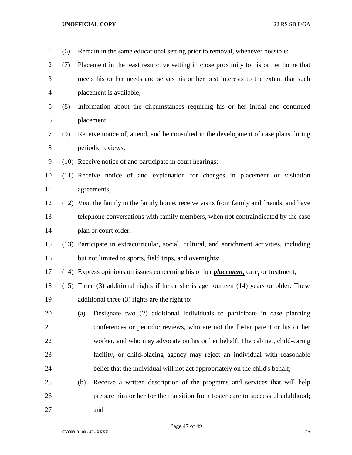| $\mathbf{1}$   | (6) | Remain in the same educational setting prior to removal, whenever possible;                    |
|----------------|-----|------------------------------------------------------------------------------------------------|
| $\mathbf{2}$   | (7) | Placement in the least restrictive setting in close proximity to his or her home that          |
| 3              |     | meets his or her needs and serves his or her best interests to the extent that such            |
| $\overline{4}$ |     | placement is available;                                                                        |
| 5              | (8) | Information about the circumstances requiring his or her initial and continued                 |
| 6              |     | placement;                                                                                     |
| $\tau$         | (9) | Receive notice of, attend, and be consulted in the development of case plans during            |
| $8\,$          |     | periodic reviews;                                                                              |
| $\mathbf{9}$   |     | (10) Receive notice of and participate in court hearings;                                      |
| 10             |     | (11) Receive notice of and explanation for changes in placement or visitation                  |
| 11             |     | agreements;                                                                                    |
| 12             |     | (12) Visit the family in the family home, receive visits from family and friends, and have     |
| 13             |     | telephone conversations with family members, when not contraindicated by the case              |
| 14             |     | plan or court order;                                                                           |
| 15             |     | (13) Participate in extracurricular, social, cultural, and enrichment activities, including    |
| 16             |     | but not limited to sports, field trips, and overnights;                                        |
| 17             |     | (14) Express opinions on issues concerning his or her <i>placement</i> , care, or treatment;   |
| 18             |     | $(15)$ Three $(3)$ additional rights if he or she is age fourteen $(14)$ years or older. These |
| 19             |     | additional three (3) rights are the right to:                                                  |
| 20             |     | Designate two (2) additional individuals to participate in case planning<br>(a)                |
| 21             |     | conferences or periodic reviews, who are not the foster parent or his or her                   |
| 22             |     | worker, and who may advocate on his or her behalf. The cabinet, child-caring                   |
| 23             |     | facility, or child-placing agency may reject an individual with reasonable                     |
| 24             |     | belief that the individual will not act appropriately on the child's behalf;                   |
| 25             |     | Receive a written description of the programs and services that will help<br>(b)               |
| 26             |     | prepare him or her for the transition from foster care to successful adulthood;                |
| 27             |     | and                                                                                            |

Page 47 of 49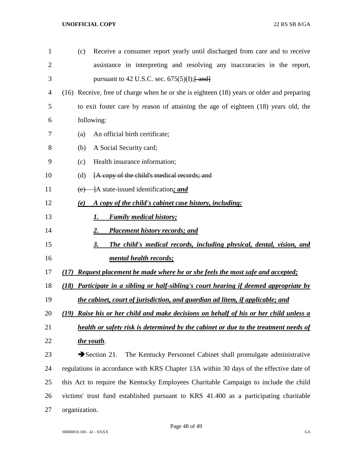| $\mathbf{1}$   | Receive a consumer report yearly until discharged from care and to receive<br>(c)               |
|----------------|-------------------------------------------------------------------------------------------------|
| $\overline{2}$ | assistance in interpreting and resolving any inaccuracies in the report,                        |
| 3              | pursuant to 42 U.S.C. sec. $675(5)(I);$ and                                                     |
| 4              | (16) Receive, free of charge when he or she is eighteen (18) years or older and preparing       |
| 5              | to exit foster care by reason of attaining the age of eighteen (18) years old, the              |
| 6              | following:                                                                                      |
| 7              | An official birth certificate;<br>(a)                                                           |
| 8              | A Social Security card;<br>(b)                                                                  |
| 9              | Health insurance information;<br>(c)                                                            |
| 10             | [A copy of the child's medical records; and<br>(d)                                              |
| 11             | +A state-issued identification; and<br>(e)                                                      |
| 12             | A copy of the child's cabinet case history, including:<br>(e)                                   |
| 13             | <b>Family medical history;</b><br>1.                                                            |
| 14             | <b>Placement history records; and</b><br>2.                                                     |
| 15             | 3.<br>The child's medical records, including physical, dental, vision, and                      |
| 16             | mental health records;                                                                          |
| 17             | <b>Request placement be made where he or she feels the most safe and accepted;</b><br>(17)      |
| 18             | Participate in a sibling or half-sibling's court hearing if deemed appropriate by<br>(18)       |
| 19             | the cabinet, court of jurisdiction, and guardian ad litem, if applicable; and                   |
| 20             | <u>Raise his or her child and make decisions on behalf of his or her child unless a</u><br>(19) |
| 21             | health or safety risk is determined by the cabinet or due to the treatment needs of             |
| 22             | the youth.                                                                                      |
| 23             | $\rightarrow$ Section 21.<br>The Kentucky Personnel Cabinet shall promulgate administrative     |
| 24             | regulations in accordance with KRS Chapter 13A within 30 days of the effective date of          |
| 25             | this Act to require the Kentucky Employees Charitable Campaign to include the child             |
| 26             | victims' trust fund established pursuant to KRS 41.400 as a participating charitable            |
| 27             | organization.                                                                                   |